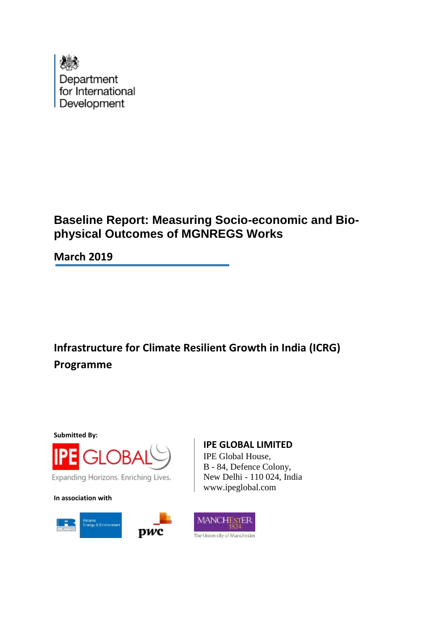

# **Baseline Report: Measuring Socio-economic and Biophysical Outcomes of MGNREGS Works**

**March 2019**

**Infrastructure for Climate Resilient Growth in India (ICRG) Programme**

**Submitted By:**



Expanding Horizons. Enriching Lives.

**In association with**



## **IPE GLOBAL LIMITED**

IPE Global House, B - 84, Defence Colony, New Delhi - 110 024, India www.ipeglobal.com

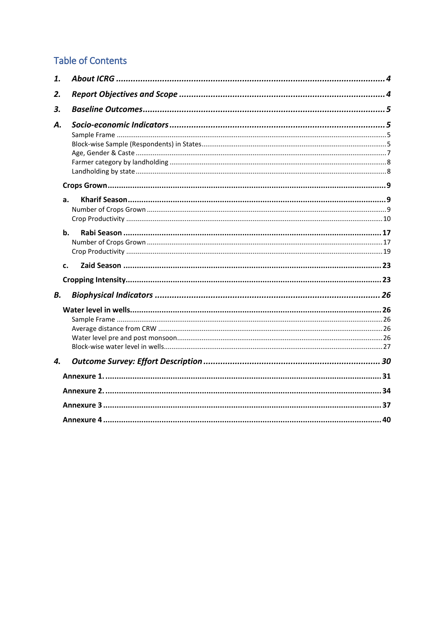# **Table of Contents**

| 1. |    |  |
|----|----|--|
| 2. |    |  |
| 3. |    |  |
| А. |    |  |
|    |    |  |
|    | a. |  |
|    | b. |  |
|    | c. |  |
|    |    |  |
| В. |    |  |
|    |    |  |
| 4. |    |  |
|    |    |  |
|    |    |  |
|    |    |  |
|    |    |  |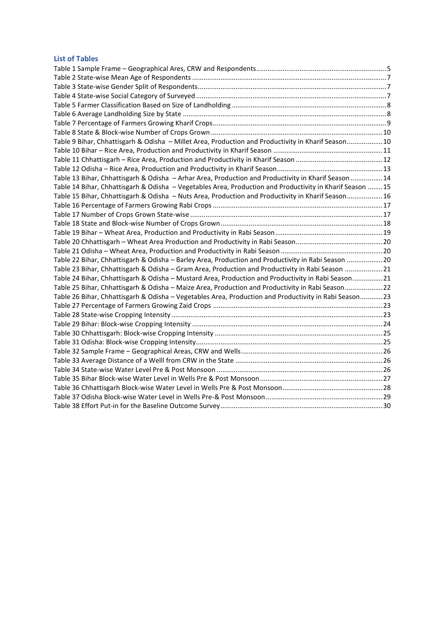#### **List of Tables**

| Table 9 Bihar, Chhattisgarh & Odisha - Millet Area, Production and Productivity in Kharif Season10       |  |
|----------------------------------------------------------------------------------------------------------|--|
|                                                                                                          |  |
|                                                                                                          |  |
|                                                                                                          |  |
| Table 13 Bihar, Chhattisgarh & Odisha - Arhar Area, Production and Productivity in Kharif Season  14     |  |
| Table 14 Bihar, Chhattisgarh & Odisha - Vegetables Area, Production and Productivity in Kharif Season 15 |  |
| Table 15 Bihar, Chhattisgarh & Odisha - Nuts Area, Production and Productivity in Kharif Season16        |  |
|                                                                                                          |  |
|                                                                                                          |  |
|                                                                                                          |  |
|                                                                                                          |  |
|                                                                                                          |  |
|                                                                                                          |  |
| Table 22 Bihar, Chhattisgarh & Odisha - Barley Area, Production and Productivity in Rabi Season 20       |  |
| Table 23 Bihar, Chhattisgarh & Odisha - Gram Area, Production and Productivity in Rabi Season 21         |  |
| Table 24 Bihar, Chhattisgarh & Odisha - Mustard Area, Production and Productivity in Rabi Season21       |  |
| Table 25 Bihar, Chhattisgarh & Odisha - Maize Area, Production and Productivity in Rabi Season22         |  |
| Table 26 Bihar, Chhattisgarh & Odisha - Vegetables Area, Production and Productivity in Rabi Season23    |  |
|                                                                                                          |  |
|                                                                                                          |  |
|                                                                                                          |  |
|                                                                                                          |  |
|                                                                                                          |  |
|                                                                                                          |  |
|                                                                                                          |  |
|                                                                                                          |  |
|                                                                                                          |  |
|                                                                                                          |  |
|                                                                                                          |  |
|                                                                                                          |  |
|                                                                                                          |  |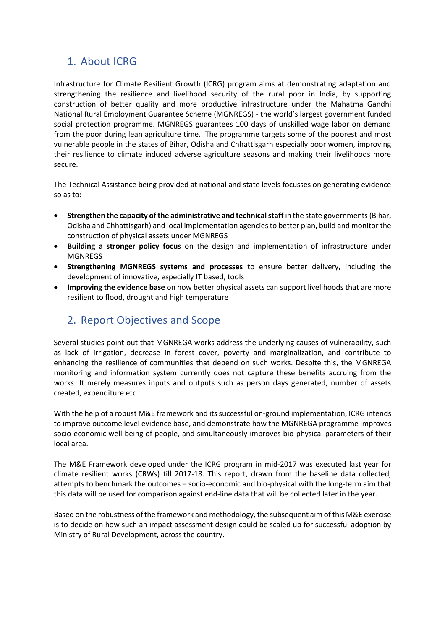# <span id="page-3-0"></span>1. About ICRG

Infrastructure for Climate Resilient Growth (ICRG) program aims at demonstrating adaptation and strengthening the resilience and livelihood security of the rural poor in India, by supporting construction of better quality and more productive infrastructure under the Mahatma Gandhi National Rural Employment Guarantee Scheme (MGNREGS) - the world's largest government funded social protection programme. MGNREGS guarantees 100 days of unskilled wage labor on demand from the poor during lean agriculture time. The programme targets some of the poorest and most vulnerable people in the states of Bihar, Odisha and Chhattisgarh especially poor women, improving their resilience to climate induced adverse agriculture seasons and making their livelihoods more secure.

The Technical Assistance being provided at national and state levels focusses on generating evidence so as to:

- **Strengthen the capacity of the administrative and technical staff** in the state governments (Bihar, Odisha and Chhattisgarh) and local implementation agencies to better plan, build and monitor the construction of physical assets under MGNREGS
- **Building a stronger policy focus** on the design and implementation of infrastructure under MGNREGS
- **Strengthening MGNREGS systems and processes** to ensure better delivery, including the development of innovative, especially IT based, tools
- **Improving the evidence base** on how better physical assets can support livelihoods that are more resilient to flood, drought and high temperature

## <span id="page-3-1"></span>2. Report Objectives and Scope

Several studies point out that MGNREGA works address the underlying causes of vulnerability, such as lack of irrigation, decrease in forest cover, poverty and marginalization, and contribute to enhancing the resilience of communities that depend on such works. Despite this, the MGNREGA monitoring and information system currently does not capture these benefits accruing from the works. It merely measures inputs and outputs such as person days generated, number of assets created, expenditure etc.

With the help of a robust M&E framework and its successful on-ground implementation, ICRG intends to improve outcome level evidence base, and demonstrate how the MGNREGA programme improves socio-economic well-being of people, and simultaneously improves bio-physical parameters of their local area.

The M&E Framework developed under the ICRG program in mid-2017 was executed last year for climate resilient works (CRWs) till 2017-18. This report, drawn from the baseline data collected, attempts to benchmark the outcomes – socio-economic and bio-physical with the long-term aim that this data will be used for comparison against end-line data that will be collected later in the year.

Based on the robustness of the framework and methodology, the subsequent aim of this M&E exercise is to decide on how such an impact assessment design could be scaled up for successful adoption by Ministry of Rural Development, across the country.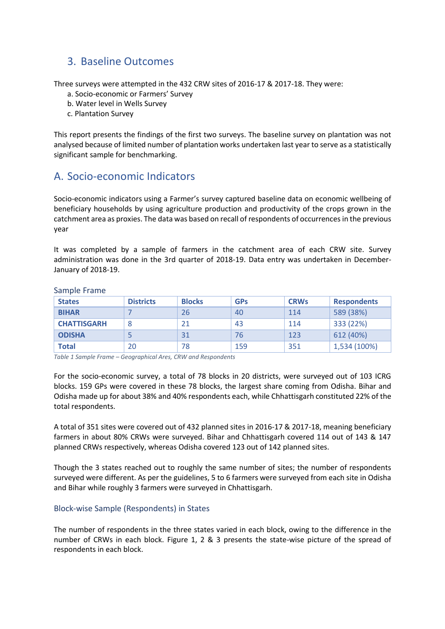## <span id="page-4-0"></span>3. Baseline Outcomes

Three surveys were attempted in the 432 CRW sites of 2016-17 & 2017-18. They were:

- a. Socio-economic or Farmers' Survey
- b. Water level in Wells Survey
- c. Plantation Survey

This report presents the findings of the first two surveys. The baseline survey on plantation was not analysed because of limited number of plantation works undertaken last year to serve as a statistically significant sample for benchmarking.

## <span id="page-4-1"></span>A. Socio-economic Indicators

Socio-economic indicators using a Farmer's survey captured baseline data on economic wellbeing of beneficiary households by using agriculture production and productivity of the crops grown in the catchment area as proxies. The data was based on recall of respondents of occurrencesin the previous year

It was completed by a sample of farmers in the catchment area of each CRW site. Survey administration was done in the 3rd quarter of 2018-19. Data entry was undertaken in December-January of 2018-19.

| <b>States</b>      | <b>Districts</b> | <b>Blocks</b> | <b>GPs</b> | <b>CRWs</b> | <b>Respondents</b> |
|--------------------|------------------|---------------|------------|-------------|--------------------|
| <b>BIHAR</b>       |                  | 26            | 40         | 114         | 589 (38%)          |
| <b>CHATTISGARH</b> | 8                | 21            | 43         | 114         | 333 (22%)          |
| <b>ODISHA</b>      |                  | 31            | 76         | 123         | 612 (40%)          |
| <b>Total</b>       | 20               | 78            | 159        | 351         | 1,534 (100%)       |

<span id="page-4-2"></span>Sample Frame

<span id="page-4-4"></span>*Table 1 Sample Frame – Geographical Ares, CRW and Respondents*

For the socio-economic survey, a total of 78 blocks in 20 districts, were surveyed out of 103 ICRG blocks. 159 GPs were covered in these 78 blocks, the largest share coming from Odisha. Bihar and Odisha made up for about 38% and 40% respondents each, while Chhattisgarh constituted 22% of the total respondents.

A total of 351 sites were covered out of 432 planned sites in 2016-17 & 2017-18, meaning beneficiary farmers in about 80% CRWs were surveyed. Bihar and Chhattisgarh covered 114 out of 143 & 147 planned CRWs respectively, whereas Odisha covered 123 out of 142 planned sites.

Though the 3 states reached out to roughly the same number of sites; the number of respondents surveyed were different. As per the guidelines, 5 to 6 farmers were surveyed from each site in Odisha and Bihar while roughly 3 farmers were surveyed in Chhattisgarh.

## <span id="page-4-3"></span>Block-wise Sample (Respondents) in States

The number of respondents in the three states varied in each block, owing to the difference in the number of CRWs in each block. Figure 1, 2 & 3 presents the state-wise picture of the spread of respondents in each block.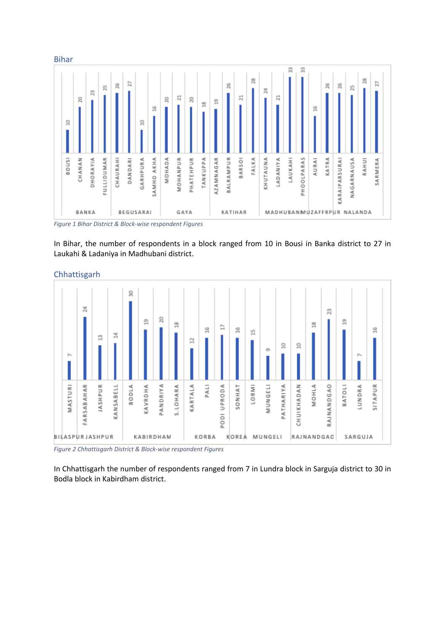

*Figure 1 Bihar District & Block-wise respondent Figures*

In Bihar, the number of respondents in a block ranged from 10 in Bousi in Banka district to 27 in Laukahi & Ladaniya in Madhubani district.



Chhattisgarh

*Figure 2 Chhattisgarh District & Block-wise respondent Figures*

In Chhattisgarh the number of respondents ranged from 7 in Lundra block in Sarguja district to 30 in Bodla block in Kabirdham district.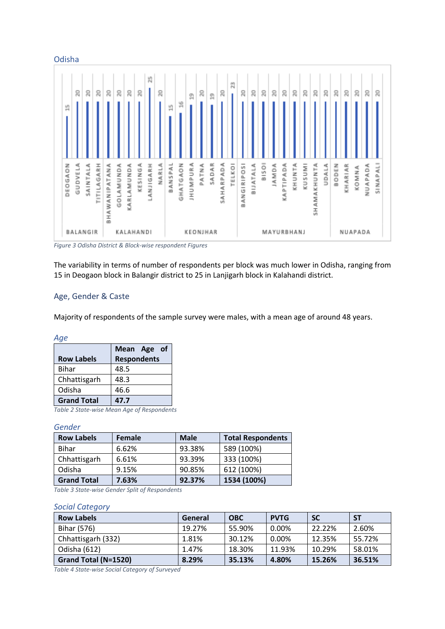

*Figure 3 Odisha District & Block-wise respondent Figures*

The variability in terms of number of respondents per block was much lower in Odisha, ranging from 15 in Deogaon block in Balangir district to 25 in Lanjigarh block in Kalahandi district.

#### <span id="page-6-0"></span>Age, Gender & Caste

Majority of respondents of the sample survey were males, with a mean age of around 48 years.

*Age*

|                                            | Mean Age of        |  |  |  |  |
|--------------------------------------------|--------------------|--|--|--|--|
| <b>Row Labels</b>                          | <b>Respondents</b> |  |  |  |  |
| <b>Bihar</b>                               | 48.5               |  |  |  |  |
| Chhattisgarh                               | 48.3               |  |  |  |  |
| Odisha                                     | 46.6               |  |  |  |  |
| <b>Grand Total</b><br>47.7                 |                    |  |  |  |  |
| Table 2 State-wise Mean Age of Respondents |                    |  |  |  |  |

## <span id="page-6-1"></span>*Gender*

| <b>Row Labels</b>  | Female | <b>Male</b> | <b>Total Respondents</b> |
|--------------------|--------|-------------|--------------------------|
| <b>Bihar</b>       | 6.62%  | 93.38%      | 589 (100%)               |
| Chhattisgarh       | 6.61%  | 93.39%      | 333 (100%)               |
| Odisha             | 9.15%  | 90.85%      | 612 (100%)               |
| <b>Grand Total</b> | 7.63%  | 92.37%      | 1534 (100%)              |

<span id="page-6-2"></span>*Table 3 State-wise Gender Split of Respondents*

#### *Social Category*

| <b>Row Labels</b>    | General | <b>OBC</b> | <b>PVTG</b> | <b>SC</b> | <b>ST</b> |
|----------------------|---------|------------|-------------|-----------|-----------|
| Bihar (576)          | 19.27%  | 55.90%     | 0.00%       | 22.22%    | 2.60%     |
| Chhattisgarh (332)   | 1.81%   | 30.12%     | 0.00%       | 12.35%    | 55.72%    |
| Odisha (612)         | 1.47%   | 18.30%     | 11.93%      | 10.29%    | 58.01%    |
| Grand Total (N=1520) | 8.29%   | 35.13%     | 4.80%       | 15.26%    | 36.51%    |

<span id="page-6-3"></span>*Table 4 State-wise Social Category of Surveyed*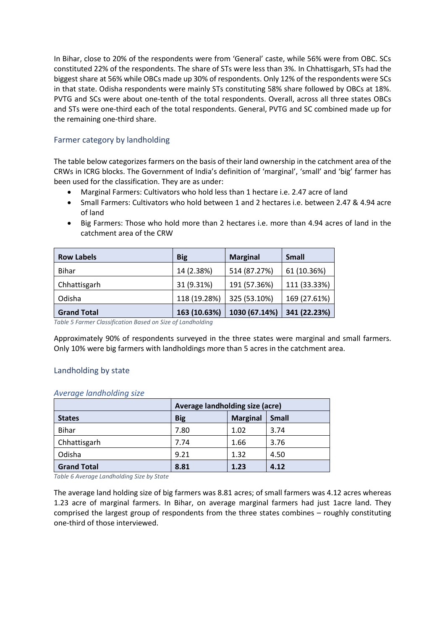In Bihar, close to 20% of the respondents were from 'General' caste, while 56% were from OBC. SCs constituted 22% of the respondents. The share of STs were less than 3%. In Chhattisgarh, STs had the biggest share at 56% while OBCs made up 30% of respondents. Only 12% of the respondents were SCs in that state. Odisha respondents were mainly STs constituting 58% share followed by OBCs at 18%. PVTG and SCs were about one-tenth of the total respondents. Overall, across all three states OBCs and STs were one-third each of the total respondents. General, PVTG and SC combined made up for the remaining one-third share.

## <span id="page-7-0"></span>Farmer category by landholding

The table below categorizes farmers on the basis of their land ownership in the catchment area of the CRWs in ICRG blocks. The Government of India's definition of 'marginal', 'small' and 'big' farmer has been used for the classification. They are as under:

- Marginal Farmers: Cultivators who hold less than 1 hectare i.e. 2.47 acre of land
- Small Farmers: Cultivators who hold between 1 and 2 hectares i.e. between 2.47 & 4.94 acre of land
- Big Farmers: Those who hold more than 2 hectares i.e. more than 4.94 acres of land in the catchment area of the CRW

| <b>Row Labels</b>  | <b>Big</b>   | <b>Marginal</b> | <b>Small</b> |
|--------------------|--------------|-----------------|--------------|
| <b>Bihar</b>       | 14 (2.38%)   | 514 (87.27%)    | 61 (10.36%)  |
| Chhattisgarh       | 31 (9.31%)   | 191 (57.36%)    | 111 (33.33%) |
| Odisha             | 118 (19.28%) | 325 (53.10%)    | 169 (27.61%) |
| <b>Grand Total</b> | 163 (10.63%) | 1030 (67.14%)   | 341 (22.23%) |

<span id="page-7-2"></span>*Table 5 Farmer Classification Based on Size of Landholding*

Approximately 90% of respondents surveyed in the three states were marginal and small farmers. Only 10% were big farmers with landholdings more than 5 acres in the catchment area.

## <span id="page-7-1"></span>Landholding by state

#### *Average landholding size*

|                    | Average landholding size (acre) |                 |              |  |  |
|--------------------|---------------------------------|-----------------|--------------|--|--|
| <b>States</b>      | <b>Big</b>                      | <b>Marginal</b> | <b>Small</b> |  |  |
| <b>Bihar</b>       | 7.80                            | 1.02            | 3.74         |  |  |
| Chhattisgarh       | 7.74                            | 1.66            | 3.76         |  |  |
| Odisha             | 9.21                            | 1.32            | 4.50         |  |  |
| <b>Grand Total</b> | 8.81                            | 1.23            | 4.12         |  |  |

<span id="page-7-3"></span>*Table 6 Average Landholding Size by State*

The average land holding size of big farmers was 8.81 acres; of small farmers was 4.12 acres whereas 1.23 acre of marginal farmers. In Bihar, on average marginal farmers had just 1acre land. They comprised the largest group of respondents from the three states combines – roughly constituting one-third of those interviewed.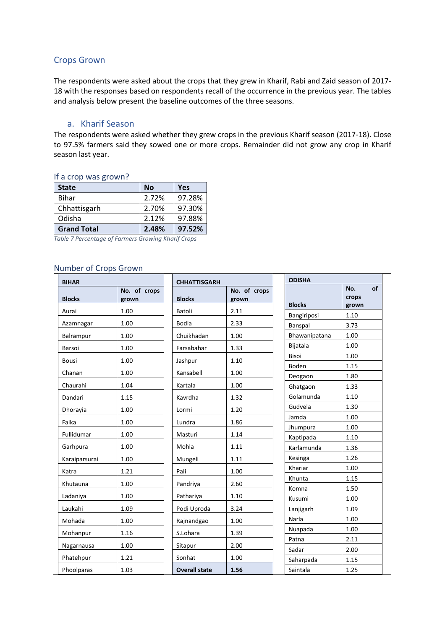### <span id="page-8-0"></span>Crops Grown

The respondents were asked about the crops that they grew in Kharif, Rabi and Zaid season of 2017- 18 with the responses based on respondents recall of the occurrence in the previous year. The tables and analysis below present the baseline outcomes of the three seasons.

### a. Kharif Season

<span id="page-8-1"></span>The respondents were asked whether they grew crops in the previous Kharif season (2017-18). Close to 97.5% farmers said they sowed one or more crops. Remainder did not grow any crop in Kharif season last year.

| <b>State</b>       | <b>No</b> | Yes    |
|--------------------|-----------|--------|
| <b>Bihar</b>       | 2.72%     | 97.28% |
| Chhattisgarh       | 2.70%     | 97.30% |
| Odisha             | 2.12%     | 97.88% |
| <b>Grand Total</b> | 2.48%     | 97.52% |

#### If a crop was grown?

<span id="page-8-3"></span>*Table 7 Percentage of Farmers Growing Kharif Crops*

#### <span id="page-8-2"></span>Number of Crops Grown

| <b>BIHAR</b>  |                       | <b>CHHATTISGARH</b>  |                       | <b>ODISHA</b>       |                             |
|---------------|-----------------------|----------------------|-----------------------|---------------------|-----------------------------|
| <b>Blocks</b> | No. of crops<br>grown | <b>Blocks</b>        | No. of crops<br>grown | <b>Blocks</b>       | of<br>No.<br>crops<br>grown |
| Aurai         | 1.00                  | Batoli               | 2.11                  | Bangiriposi         | 1.10                        |
| Azamnagar     | 1.00                  | <b>Bodla</b>         | 2.33                  | Banspal             | 3.73                        |
| Balrampur     | 1.00                  | Chuikhadan           | 1.00                  | Bhawanipatana       | 1.00                        |
| Barsoi        | 1.00                  | Farsabahar           | 1.33                  | Bijatala            | 1.00                        |
| Bousi         | 1.00                  | Jashpur              | 1.10                  | Bisoi               | 1.00                        |
|               | 1.00                  |                      | 1.00                  | Boden               | 1.15                        |
| Chanan        |                       | Kansabell            |                       | Deogaon             | 1.80                        |
| Chaurahi      | 1.04                  | Kartala              | 1.00                  | Ghatgaon            | 1.33                        |
| Dandari       | 1.15                  | Kavrdha              | 1.32                  | Golamunda           | 1.10                        |
| Dhorayia      | 1.00                  | Lormi                | 1.20                  | Gudvela             | 1.30                        |
| Falka         | 1.00                  | Lundra               | 1.86                  | Jamda               | 1.00                        |
| Fullidumar    | 1.00                  | Masturi              | 1.14                  | Jhumpura            | 1.00                        |
|               |                       |                      |                       | Kaptipada           | 1.10                        |
| Garhpura      | 1.00                  | Mohla                | 1.11                  | Karlamunda          | 1.36                        |
| Karaiparsurai | 1.00                  | Mungeli              | 1.11                  | Kesinga             | 1.26                        |
| Katra         | 1.21                  | Pali                 | 1.00                  | Khariar             | 1.00                        |
| Khutauna      | 1.00                  | Pandriya             | 2.60                  | Khunta              | 1.15                        |
| Ladaniya      | 1.00                  | Pathariya            | 1.10                  | Komna               | 1.50                        |
| Laukahi       | 1.09                  | Podi Uproda          | 3.24                  | Kusumi<br>Lanjigarh | 1.00<br>1.09                |
|               |                       |                      |                       | Narla               | 1.00                        |
| Mohada        | 1.00                  | Rajnandgao           | 1.00                  | Nuapada             | 1.00                        |
| Mohanpur      | 1.16                  | S.Lohara             | 1.39                  | Patna               | 2.11                        |
| Nagarnausa    | 1.00                  | Sitapur              | 2.00                  | Sadar               | 2.00                        |
| Phatehpur     | 1.21                  | Sonhat               | 1.00                  | Saharpada           | 1.15                        |
| Phoolparas    | 1.03                  | <b>Overall state</b> | 1.56                  | Saintala            | 1.25                        |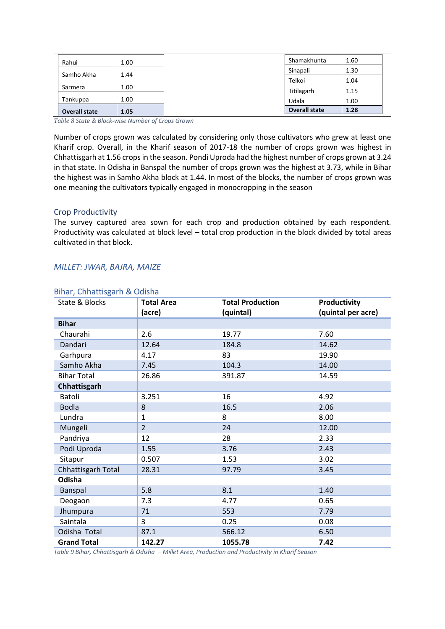| Rahui                | 1.00 | Shamakhunta          | 1.60 |
|----------------------|------|----------------------|------|
| Samho Akha           | 1.44 | Sinapali             | 1.30 |
|                      |      | Telkoi               | 1.04 |
| Sarmera              | 1.00 | Titilagarh           | 1.15 |
| Tankuppa             | 1.00 | Udala                | 1.00 |
| <b>Overall state</b> | 1.05 | <b>Overall state</b> | 1.28 |

<span id="page-9-1"></span>*Table 8 State & Block-wise Number of Crops Grown*

Number of crops grown was calculated by considering only those cultivators who grew at least one Kharif crop. Overall, in the Kharif season of 2017-18 the number of crops grown was highest in Chhattisgarh at 1.56 crops in the season. Pondi Uproda had the highest number of crops grown at 3.24 in that state. In Odisha in Banspal the number of crops grown was the highest at 3.73, while in Bihar the highest was in Samho Akha block at 1.44. In most of the blocks, the number of crops grown was one meaning the cultivators typically engaged in monocropping in the season

### <span id="page-9-0"></span>Crop Productivity

The survey captured area sown for each crop and production obtained by each respondent. Productivity was calculated at block level – total crop production in the block divided by total areas cultivated in that block.

### *MILLET: JWAR, BAJRA, MAIZE*

| State & Blocks      | <b>Total Area</b> | <b>Total Production</b> | Productivity       |
|---------------------|-------------------|-------------------------|--------------------|
|                     | (acre)            | (quintal)               | (quintal per acre) |
| <b>Bihar</b>        |                   |                         |                    |
| Chaurahi            | 2.6               | 19.77                   | 7.60               |
| Dandari             | 12.64             | 184.8                   | 14.62              |
| Garhpura            | 4.17              | 83                      | 19.90              |
| Samho Akha          | 7.45              | 104.3                   | 14.00              |
| <b>Bihar Total</b>  | 26.86             | 391.87                  | 14.59              |
| <b>Chhattisgarh</b> |                   |                         |                    |
| Batoli              | 3.251             | 16                      | 4.92               |
| <b>Bodla</b>        | 8                 | 16.5                    | 2.06               |
| Lundra              | $\mathbf{1}$      | 8                       | 8.00               |
| Mungeli             | $\overline{2}$    | 24                      | 12.00              |
| Pandriya            | 12                | 28                      | 2.33               |
| Podi Uproda         | 1.55              | 3.76                    | 2.43               |
| Sitapur             | 0.507             | 1.53                    | 3.02               |
| Chhattisgarh Total  | 28.31             | 97.79                   | 3.45               |
| Odisha              |                   |                         |                    |
| Banspal             | 5.8               | 8.1                     | 1.40               |
| Deogaon             | 7.3               | 4.77                    | 0.65               |
| Jhumpura            | 71                | 553                     | 7.79               |
| Saintala            | 3                 | 0.25                    | 0.08               |
| Odisha Total        | 87.1              | 566.12                  | 6.50               |
| <b>Grand Total</b>  | 142.27            | 1055.78                 | 7.42               |

#### Bihar, Chhattisgarh & Odisha

<span id="page-9-2"></span>*Table 9 Bihar, Chhattisgarh & Odisha – Millet Area, Production and Productivity in Kharif Season*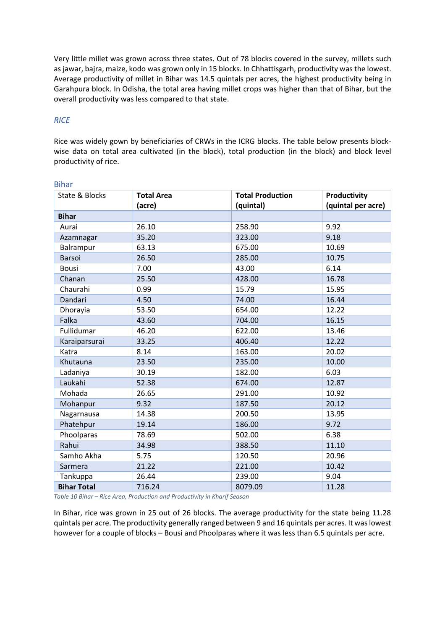Very little millet was grown across three states. Out of 78 blocks covered in the survey, millets such as jawar, bajra, maize, kodo was grown only in 15 blocks. In Chhattisgarh, productivity was the lowest. Average productivity of millet in Bihar was 14.5 quintals per acres, the highest productivity being in Garahpura block. In Odisha, the total area having millet crops was higher than that of Bihar, but the overall productivity was less compared to that state.

## *RICE*

Rice was widely gown by beneficiaries of CRWs in the ICRG blocks. The table below presents blockwise data on total area cultivated (in the block), total production (in the block) and block level productivity of rice.

| State & Blocks     | <b>Total Area</b> | <b>Total Production</b> | Productivity       |
|--------------------|-------------------|-------------------------|--------------------|
|                    | (acre)            | (quintal)               | (quintal per acre) |
| <b>Bihar</b>       |                   |                         |                    |
| Aurai              | 26.10             | 258.90                  | 9.92               |
| Azamnagar          | 35.20             | 323.00                  | 9.18               |
| Balrampur          | 63.13             | 675.00                  | 10.69              |
| Barsoi             | 26.50             | 285.00                  | 10.75              |
| <b>Bousi</b>       | 7.00              | 43.00                   | 6.14               |
| Chanan             | 25.50             | 428.00                  | 16.78              |
| Chaurahi           | 0.99              | 15.79                   | 15.95              |
| Dandari            | 4.50              | 74.00                   | 16.44              |
| Dhorayia           | 53.50             | 654.00                  | 12.22              |
| Falka              | 43.60             | 704.00                  | 16.15              |
| Fullidumar         | 46.20             | 622.00                  | 13.46              |
| Karaiparsurai      | 33.25             | 406.40                  | 12.22              |
| Katra              | 8.14              | 163.00                  | 20.02              |
| Khutauna           | 23.50             | 235.00                  | 10.00              |
| Ladaniya           | 30.19             | 182.00                  | 6.03               |
| Laukahi            | 52.38             | 674.00                  | 12.87              |
| Mohada             | 26.65             | 291.00                  | 10.92              |
| Mohanpur           | 9.32              | 187.50                  | 20.12              |
| Nagarnausa         | 14.38             | 200.50                  | 13.95              |
| Phatehpur          | 19.14             | 186.00                  | 9.72               |
| Phoolparas         | 78.69             | 502.00                  | 6.38               |
| Rahui              | 34.98             | 388.50                  | 11.10              |
| Samho Akha         | 5.75              | 120.50                  | 20.96              |
| Sarmera            | 21.22             | 221.00                  | 10.42              |
| Tankuppa           | 26.44             | 239.00                  | 9.04               |
| <b>Bihar Total</b> | 716.24            | 8079.09                 | 11.28              |

### Bihar

<span id="page-10-0"></span>*Table 10 Bihar – Rice Area, Production and Productivity in Kharif Season*

In Bihar, rice was grown in 25 out of 26 blocks. The average productivity for the state being 11.28 quintals per acre. The productivity generally ranged between 9 and 16 quintals per acres. It was lowest however for a couple of blocks – Bousi and Phoolparas where it was less than 6.5 quintals per acre.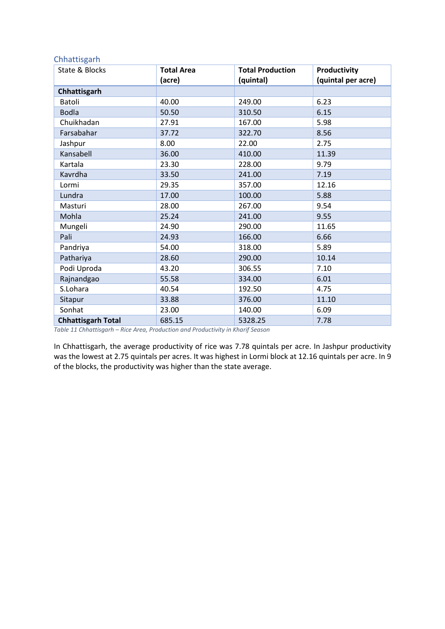### Chhattisgarh

| State & Blocks            | <b>Total Area</b> | <b>Total Production</b> | <b>Productivity</b> |
|---------------------------|-------------------|-------------------------|---------------------|
|                           | (acre)            | (quintal)               | (quintal per acre)  |
| Chhattisgarh              |                   |                         |                     |
| Batoli                    | 40.00             | 249.00                  | 6.23                |
| <b>Bodla</b>              | 50.50             | 310.50                  | 6.15                |
| Chuikhadan                | 27.91             | 167.00                  | 5.98                |
| Farsabahar                | 37.72             | 322.70                  | 8.56                |
| Jashpur                   | 8.00              | 22.00                   | 2.75                |
| Kansabell                 | 36.00             | 410.00                  | 11.39               |
| Kartala                   | 23.30             | 228.00                  | 9.79                |
| Kavrdha                   | 33.50             | 241.00                  | 7.19                |
| Lormi                     | 29.35             | 357.00                  | 12.16               |
| Lundra                    | 17.00             | 100.00                  | 5.88                |
| Masturi                   | 28.00             | 267.00                  | 9.54                |
| Mohla                     | 25.24             | 241.00                  | 9.55                |
| Mungeli                   | 24.90             | 290.00                  | 11.65               |
| Pali                      | 24.93             | 166.00                  | 6.66                |
| Pandriya                  | 54.00             | 318.00                  | 5.89                |
| Pathariya                 | 28.60             | 290.00                  | 10.14               |
| Podi Uproda               | 43.20             | 306.55                  | 7.10                |
| Rajnandgao                | 55.58             | 334.00                  | 6.01                |
| S.Lohara                  | 40.54             | 192.50                  | 4.75                |
| Sitapur                   | 33.88             | 376.00                  | 11.10               |
| Sonhat                    | 23.00             | 140.00                  | 6.09                |
| <b>Chhattisgarh Total</b> | 685.15            | 5328.25                 | 7.78                |

<span id="page-11-0"></span>*Table 11 Chhattisgarh – Rice Area, Production and Productivity in Kharif Season*

In Chhattisgarh, the average productivity of rice was 7.78 quintals per acre. In Jashpur productivity was the lowest at 2.75 quintals per acres. It was highest in Lormi block at 12.16 quintals per acre. In 9 of the blocks, the productivity was higher than the state average.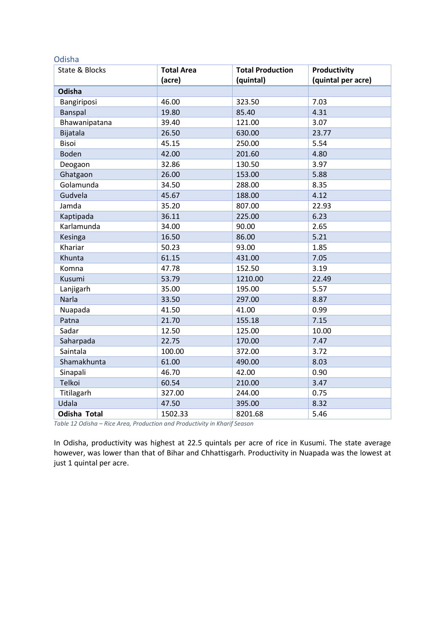#### Odisha

| State & Blocks      | <b>Total Area</b> | <b>Total Production</b> | Productivity       |
|---------------------|-------------------|-------------------------|--------------------|
|                     | (acre)            | (quintal)               | (quintal per acre) |
| Odisha              |                   |                         |                    |
| Bangiriposi         | 46.00             | 323.50                  | 7.03               |
| Banspal             | 19.80             | 85.40                   | 4.31               |
| Bhawanipatana       | 39.40             | 121.00                  | 3.07               |
| Bijatala            | 26.50             | 630.00                  | 23.77              |
| <b>Bisoi</b>        | 45.15             | 250.00                  | 5.54               |
| <b>Boden</b>        | 42.00             | 201.60                  | 4.80               |
| Deogaon             | 32.86             | 130.50                  | 3.97               |
| Ghatgaon            | 26.00             | 153.00                  | 5.88               |
| Golamunda           | 34.50             | 288.00                  | 8.35               |
| Gudvela             | 45.67             | 188.00                  | 4.12               |
| Jamda               | 35.20             | 807.00                  | 22.93              |
| Kaptipada           | 36.11             | 225.00                  | 6.23               |
| Karlamunda          | 34.00             | 90.00                   | 2.65               |
| Kesinga             | 16.50             | 86.00                   | 5.21               |
| Khariar             | 50.23             | 93.00                   | 1.85               |
| Khunta              | 61.15             | 431.00                  | 7.05               |
| Komna               | 47.78             | 152.50                  | 3.19               |
| Kusumi              | 53.79             | 1210.00                 | 22.49              |
| Lanjigarh           | 35.00             | 195.00                  | 5.57               |
| Narla               | 33.50             | 297.00                  | 8.87               |
| Nuapada             | 41.50             | 41.00                   | 0.99               |
| Patna               | 21.70             | 155.18                  | 7.15               |
| Sadar               | 12.50             | 125.00                  | 10.00              |
| Saharpada           | 22.75             | 170.00                  | 7.47               |
| Saintala            | 100.00            | 372.00                  | 3.72               |
| Shamakhunta         | 61.00             | 490.00                  | 8.03               |
| Sinapali            | 46.70             | 42.00                   | 0.90               |
| Telkoi              | 60.54             | 210.00                  | 3.47               |
| Titilagarh          | 327.00            | 244.00                  | 0.75               |
| Udala               | 47.50             | 395.00                  | 8.32               |
| <b>Odisha Total</b> | 1502.33           | 8201.68                 | 5.46               |

<span id="page-12-0"></span>*Table 12 Odisha – Rice Area, Production and Productivity in Kharif Season*

In Odisha, productivity was highest at 22.5 quintals per acre of rice in Kusumi. The state average however, was lower than that of Bihar and Chhattisgarh. Productivity in Nuapada was the lowest at just 1 quintal per acre.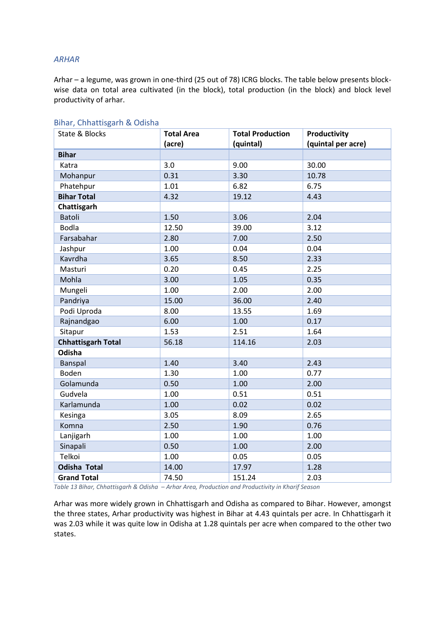#### *ARHAR*

Arhar – a legume, was grown in one-third (25 out of 78) ICRG blocks. The table below presents blockwise data on total area cultivated (in the block), total production (in the block) and block level productivity of arhar.

| State & Blocks            | <b>Total Area</b> | <b>Total Production</b> | Productivity       |
|---------------------------|-------------------|-------------------------|--------------------|
|                           | (acre)            | (quintal)               | (quintal per acre) |
| <b>Bihar</b>              |                   |                         |                    |
| Katra                     | 3.0               | 9.00                    | 30.00              |
| Mohanpur                  | 0.31              | 3.30                    | 10.78              |
| Phatehpur                 | 1.01              | 6.82                    | 6.75               |
| <b>Bihar Total</b>        | 4.32              | 19.12                   | 4.43               |
| Chattisgarh               |                   |                         |                    |
| <b>Batoli</b>             | 1.50              | 3.06                    | 2.04               |
| <b>Bodla</b>              | 12.50             | 39.00                   | 3.12               |
| Farsabahar                | 2.80              | 7.00                    | 2.50               |
| Jashpur                   | 1.00              | 0.04                    | 0.04               |
| Kavrdha                   | 3.65              | 8.50                    | 2.33               |
| Masturi                   | 0.20              | 0.45                    | 2.25               |
| Mohla                     | 3.00              | 1.05                    | 0.35               |
| Mungeli                   | 1.00              | 2.00                    | 2.00               |
| Pandriya                  | 15.00             | 36.00                   | 2.40               |
| Podi Uproda               | 8.00              | 13.55                   | 1.69               |
| Rajnandgao                | 6.00              | 1.00                    | 0.17               |
| Sitapur                   | 1.53              | 2.51                    | 1.64               |
| <b>Chhattisgarh Total</b> | 56.18             | 114.16                  | 2.03               |
| Odisha                    |                   |                         |                    |
| Banspal                   | 1.40              | 3.40                    | 2.43               |
| Boden                     | 1.30              | 1.00                    | 0.77               |
| Golamunda                 | 0.50              | 1.00                    | 2.00               |
| Gudvela                   | 1.00              | 0.51                    | 0.51               |
| Karlamunda                | 1.00              | 0.02                    | 0.02               |
| Kesinga                   | 3.05              | 8.09                    | 2.65               |
| Komna                     | 2.50              | 1.90                    | 0.76               |
| Lanjigarh                 | 1.00              | 1.00                    | 1.00               |
| Sinapali                  | 0.50              | 1.00                    | 2.00               |
| Telkoi                    | 1.00              | 0.05                    | 0.05               |
| <b>Odisha Total</b>       | 14.00             | 17.97                   | 1.28               |
| <b>Grand Total</b>        | 74.50             | 151.24                  | 2.03               |

#### Bihar, Chhattisgarh & Odisha

<span id="page-13-0"></span>*Table 13 Bihar, Chhattisgarh & Odisha – Arhar Area, Production and Productivity in Kharif Season*

Arhar was more widely grown in Chhattisgarh and Odisha as compared to Bihar. However, amongst the three states, Arhar productivity was highest in Bihar at 4.43 quintals per acre. In Chhattisgarh it was 2.03 while it was quite low in Odisha at 1.28 quintals per acre when compared to the other two states.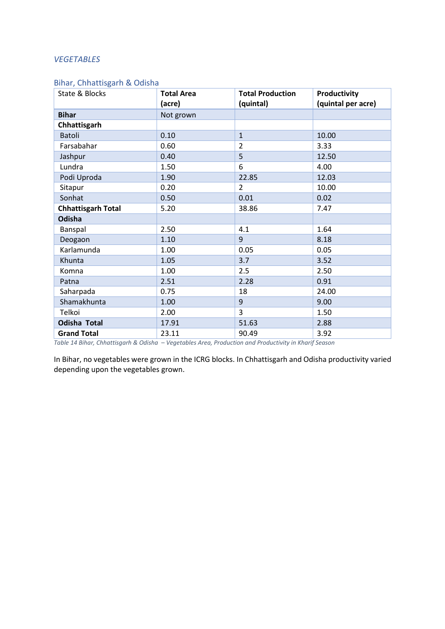#### *VEGETABLES*

## Bihar, Chhattisgarh & Odisha

| State & Blocks            | <b>Total Area</b> | <b>Total Production</b> | Productivity       |
|---------------------------|-------------------|-------------------------|--------------------|
|                           | (acre)            | (quintal)               | (quintal per acre) |
| <b>Bihar</b>              | Not grown         |                         |                    |
| Chhattisgarh              |                   |                         |                    |
| <b>Batoli</b>             | 0.10              | $\mathbf{1}$            | 10.00              |
| Farsabahar                | 0.60              | $\overline{2}$          | 3.33               |
| Jashpur                   | 0.40              | 5                       | 12.50              |
| Lundra                    | 1.50              | 6                       | 4.00               |
| Podi Uproda               | 1.90              | 22.85                   | 12.03              |
| Sitapur                   | 0.20              | $\overline{2}$          | 10.00              |
| Sonhat                    | 0.50              | 0.01                    | 0.02               |
| <b>Chhattisgarh Total</b> | 5.20              | 38.86                   | 7.47               |
| <b>Odisha</b>             |                   |                         |                    |
| Banspal                   | 2.50              | 4.1                     | 1.64               |
| Deogaon                   | 1.10              | 9                       | 8.18               |
| Karlamunda                | 1.00              | 0.05                    | 0.05               |
| Khunta                    | 1.05              | 3.7                     | 3.52               |
| Komna                     | 1.00              | 2.5                     | 2.50               |
| Patna                     | 2.51              | 2.28                    | 0.91               |
| Saharpada                 | 0.75              | 18                      | 24.00              |
| Shamakhunta               | 1.00              | 9                       | 9.00               |
| Telkoi                    | 2.00              | 3                       | 1.50               |
| <b>Odisha Total</b>       | 17.91             | 51.63                   | 2.88               |
| <b>Grand Total</b>        | 23.11             | 90.49                   | 3.92               |

<span id="page-14-0"></span>*Table 14 Bihar, Chhattisgarh & Odisha – Vegetables Area, Production and Productivity in Kharif Season*

In Bihar, no vegetables were grown in the ICRG blocks. In Chhattisgarh and Odisha productivity varied depending upon the vegetables grown.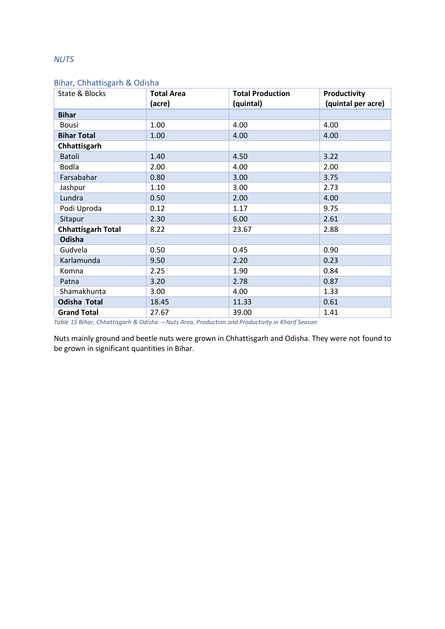## *NUTS*

## Bihar, Chhattisgarh & Odisha

| State & Blocks            | <b>Total Area</b><br>(acre) | <b>Total Production</b><br>(quintal) | Productivity<br>(quintal per acre) |
|---------------------------|-----------------------------|--------------------------------------|------------------------------------|
| <b>Bihar</b>              |                             |                                      |                                    |
| <b>Bousi</b>              | 1.00                        | 4.00                                 | 4.00                               |
| <b>Bihar Total</b>        | 1.00                        | 4.00                                 | 4.00                               |
| Chhattisgarh              |                             |                                      |                                    |
| Batoli                    | 1.40                        | 4.50                                 | 3.22                               |
| <b>Bodla</b>              | 2.00                        | 4.00                                 | 2.00                               |
| Farsabahar                | 0.80                        | 3.00                                 | 3.75                               |
| Jashpur                   | 1.10                        | 3.00                                 | 2.73                               |
| Lundra                    | 0.50                        | 2.00                                 | 4.00                               |
| Podi Uproda               | 0.12                        | 1.17                                 | 9.75                               |
| Sitapur                   | 2.30                        | 6.00                                 | 2.61                               |
| <b>Chhattisgarh Total</b> | 8.22                        | 23.67                                | 2.88                               |
| Odisha                    |                             |                                      |                                    |
| Gudvela                   | 0.50                        | 0.45                                 | 0.90                               |
| Karlamunda                | 9.50                        | 2.20                                 | 0.23                               |
| Komna                     | 2.25                        | 1.90                                 | 0.84                               |
| Patna                     | 3.20                        | 2.78                                 | 0.87                               |
| Shamakhunta               | 3.00                        | 4.00                                 | 1.33                               |
| <b>Odisha Total</b>       | 18.45                       | 11.33                                | 0.61                               |
| <b>Grand Total</b>        | 27.67                       | 39.00                                | 1.41                               |

<span id="page-15-0"></span>*Table 15 Bihar, Chhattisgarh & Odisha – Nuts Area, Production and Productivity in Kharif Season*

Nuts mainly ground and beetle nuts were grown in Chhattisgarh and Odisha. They were not found to be grown in significant quantities in Bihar.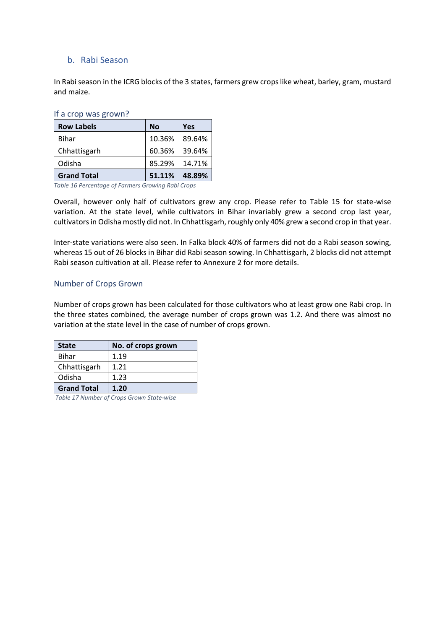## <span id="page-16-0"></span>b. Rabi Season

In Rabi season in the ICRG blocks of the 3 states, farmers grew crops like wheat, barley, gram, mustard and maize.

If a crop was grown?

| <b>Row Labels</b>  | <b>No</b> | Yes    |
|--------------------|-----------|--------|
| <b>Bihar</b>       | 10.36%    | 89.64% |
| Chhattisgarh       | 60.36%    | 39.64% |
| Odisha             | 85.29%    | 14.71% |
| <b>Grand Total</b> | 51.11%    | 48.89% |

<span id="page-16-2"></span>*Table 16 Percentage of Farmers Growing Rabi Crops*

Overall, however only half of cultivators grew any crop. Please refer to Table 15 for state-wise variation. At the state level, while cultivators in Bihar invariably grew a second crop last year, cultivators in Odisha mostly did not. In Chhattisgarh, roughly only 40% grew a second crop in that year.

Inter-state variations were also seen. In Falka block 40% of farmers did not do a Rabi season sowing, whereas 15 out of 26 blocks in Bihar did Rabi season sowing. In Chhattisgarh, 2 blocks did not attempt Rabi season cultivation at all. Please refer to Annexure 2 for more details.

## <span id="page-16-1"></span>Number of Crops Grown

Number of crops grown has been calculated for those cultivators who at least grow one Rabi crop. In the three states combined, the average number of crops grown was 1.2. And there was almost no variation at the state level in the case of number of crops grown.

| <b>State</b>       | No. of crops grown |
|--------------------|--------------------|
| <b>Bihar</b>       | 1.19               |
| Chhattisgarh       | 1.21               |
| Odisha             | 1.23               |
| <b>Grand Total</b> | 1.20               |

<span id="page-16-3"></span>*Table 17 Number of Crops Grown State-wise*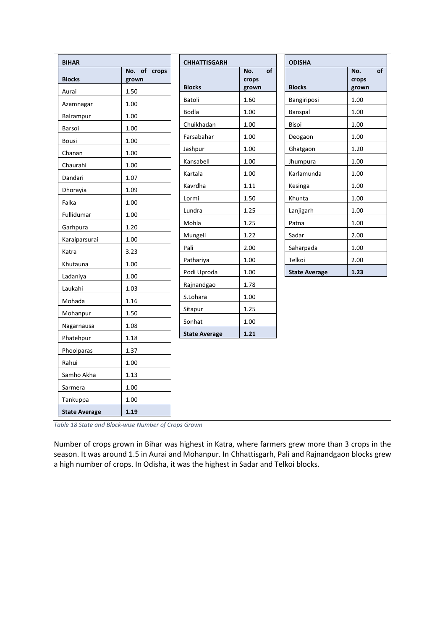| <b>BIHAR</b>         |                       | <b>CHHATTISGARH</b>  |                    | <b>ODISHA</b>        |                    |
|----------------------|-----------------------|----------------------|--------------------|----------------------|--------------------|
| <b>Blocks</b>        | No. of crops<br>grown |                      | of<br>No.<br>crops |                      | of<br>No.<br>crops |
| Aurai                | 1.50                  | <b>Blocks</b>        | grown              | <b>Blocks</b>        | grown              |
| Azamnagar            | 1.00                  | Batoli               | 1.60               | Bangiriposi          | 1.00               |
| Balrampur            | 1.00                  | <b>Bodla</b>         | 1.00               | Banspal              | 1.00               |
| Barsoi               | 1.00                  | Chuikhadan           | 1.00               | Bisoi                | 1.00               |
| Bousi                | 1.00                  | Farsabahar           | 1.00               | Deogaon              | 1.00               |
| Chanan               | 1.00                  | Jashpur              | 1.00               | Ghatgaon             | 1.20               |
| Chaurahi             | 1.00                  | Kansabell            | 1.00               | Jhumpura             | 1.00               |
| Dandari              | 1.07                  | Kartala              | 1.00               | Karlamunda           | 1.00               |
| Dhorayia             | 1.09                  | Kavrdha              | 1.11               | Kesinga              | 1.00               |
| Falka                | 1.00                  | Lormi                | 1.50               | Khunta               | 1.00               |
| Fullidumar           | 1.00                  | Lundra               | 1.25               | Lanjigarh            | 1.00               |
| Garhpura             | 1.20                  | Mohla                | 1.25               | Patna                | 1.00               |
| Karaiparsurai        | 1.00                  | Mungeli              | 1.22               | Sadar                | 2.00               |
| Katra                | 3.23                  | Pali                 | 2.00               | Saharpada            | 1.00               |
|                      | 1.00                  | Pathariya            | 1.00               | Telkoi               | 2.00               |
| Khutauna             | 1.00                  | Podi Uproda          | 1.00               | <b>State Average</b> | 1.23               |
| Ladaniya             |                       | Rajnandgao           | 1.78               |                      |                    |
| Laukahi              | 1.03                  | S.Lohara             | 1.00               |                      |                    |
| Mohada               | 1.16                  | Sitapur              | 1.25               |                      |                    |
| Mohanpur             | 1.50                  | Sonhat               | 1.00               |                      |                    |
| Nagarnausa           | 1.08                  | <b>State Average</b> | 1.21               |                      |                    |
| Phatehpur            | 1.18                  |                      |                    |                      |                    |
| Phoolparas           | 1.37                  |                      |                    |                      |                    |
| Rahui                | 1.00                  |                      |                    |                      |                    |
| Samho Akha           | 1.13                  |                      |                    |                      |                    |
| Sarmera              | 1.00                  |                      |                    |                      |                    |
| Tankuppa             | 1.00                  |                      |                    |                      |                    |
| <b>State Average</b> | 1.19                  |                      |                    |                      |                    |

<span id="page-17-0"></span>*Table 18 State and Block-wise Number of Crops Grown*

Number of crops grown in Bihar was highest in Katra, where farmers grew more than 3 crops in the season. It was around 1.5 in Aurai and Mohanpur. In Chhattisgarh, Pali and Rajnandgaon blocks grew a high number of crops. In Odisha, it was the highest in Sadar and Telkoi blocks.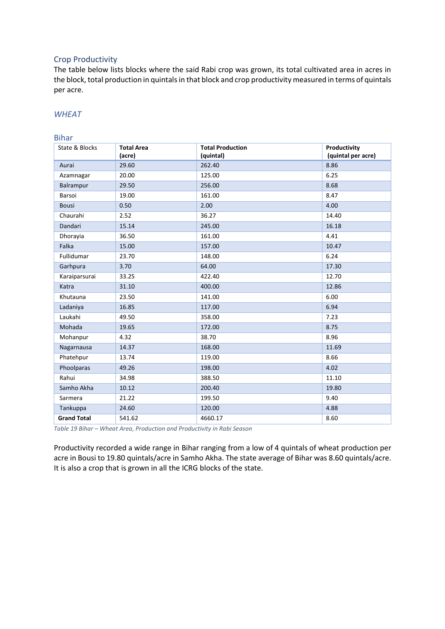#### <span id="page-18-0"></span>Crop Productivity

The table below lists blocks where the said Rabi crop was grown, its total cultivated area in acres in the block, total production in quintals in that block and crop productivity measured in terms of quintals per acre.

### *WHEAT*

### Bihar

| State & Blocks     | <b>Total Area</b> | <b>Total Production</b> | Productivity       |
|--------------------|-------------------|-------------------------|--------------------|
|                    | (acre)            | (quintal)               | (quintal per acre) |
| Aurai              | 29.60             | 262.40                  | 8.86               |
| Azamnagar          | 20.00             | 125.00                  | 6.25               |
| Balrampur          | 29.50             | 256.00                  | 8.68               |
| Barsoi             | 19.00             | 161.00                  | 8.47               |
| <b>Bousi</b>       | 0.50              | 2.00                    | 4.00               |
| Chaurahi           | 2.52              | 36.27                   | 14.40              |
| Dandari            | 15.14             | 245.00                  | 16.18              |
| Dhorayia           | 36.50             | 161.00                  | 4.41               |
| Falka              | 15.00             | 157.00                  | 10.47              |
| Fullidumar         | 23.70             | 148.00                  | 6.24               |
| Garhpura           | 3.70              | 64.00                   | 17.30              |
| Karaiparsurai      | 33.25             | 422.40                  | 12.70              |
| Katra              | 31.10             | 400.00                  | 12.86              |
| Khutauna           | 23.50             | 141.00                  | 6.00               |
| Ladaniya           | 16.85             | 117.00                  | 6.94               |
| Laukahi            | 49.50             | 358.00                  | 7.23               |
| Mohada             | 19.65             | 172.00                  | 8.75               |
| Mohanpur           | 4.32              | 38.70                   | 8.96               |
| Nagarnausa         | 14.37             | 168.00                  | 11.69              |
| Phatehpur          | 13.74             | 119.00                  | 8.66               |
| Phoolparas         | 49.26             | 198.00                  | 4.02               |
| Rahui              | 34.98             | 388.50                  | 11.10              |
| Samho Akha         | 10.12             | 200.40                  | 19.80              |
| Sarmera            | 21.22             | 199.50                  | 9.40               |
| Tankuppa           | 24.60             | 120.00                  | 4.88               |
| <b>Grand Total</b> | 541.62            | 4660.17                 | 8.60               |

<span id="page-18-1"></span>*Table 19 Bihar – Wheat Area, Production and Productivity in Rabi Season* 

Productivity recorded a wide range in Bihar ranging from a low of 4 quintals of wheat production per acre in Bousi to 19.80 quintals/acre in Samho Akha. The state average of Bihar was 8.60 quintals/acre. It is also a crop that is grown in all the ICRG blocks of the state.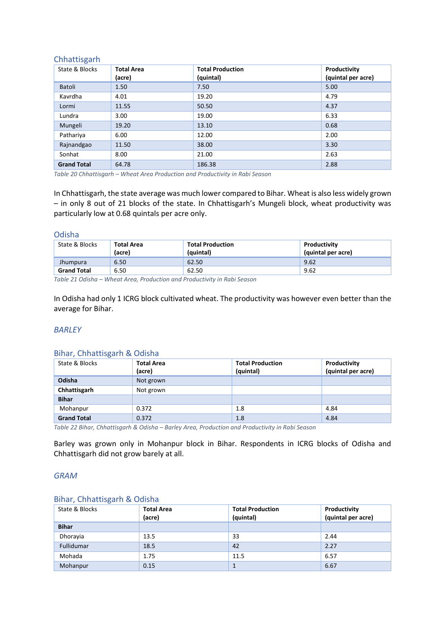## Chhattisgarh

| State & Blocks     | <b>Total Area</b><br>(acre) | <b>Total Production</b><br>(quintal) | Productivity<br>(quintal per acre) |
|--------------------|-----------------------------|--------------------------------------|------------------------------------|
| Batoli             | 1.50                        | 7.50                                 | 5.00                               |
| Kavrdha            | 4.01                        | 19.20                                | 4.79                               |
| Lormi              | 11.55                       | 50.50                                | 4.37                               |
| Lundra             | 3.00                        | 19.00                                | 6.33                               |
| Mungeli            | 19.20                       | 13.10                                | 0.68                               |
| Pathariya          | 6.00                        | 12.00                                | 2.00                               |
| Rajnandgao         | 11.50                       | 38.00                                | 3.30                               |
| Sonhat             | 8.00                        | 21.00                                | 2.63                               |
| <b>Grand Total</b> | 64.78                       | 186.38                               | 2.88                               |

<span id="page-19-0"></span>*Table 20 Chhattisgarh – Wheat Area Production and Productivity in Rabi Season*

In Chhattisgarh, the state average was much lower compared to Bihar. Wheat is also less widely grown – in only 8 out of 21 blocks of the state. In Chhattisgarh's Mungeli block, wheat productivity was particularly low at 0.68 quintals per acre only.

#### Odisha

| State & Blocks     | Total Area<br>(acre) | <b>Total Production</b><br>(quintal) | Productivity<br>(quintal per acre) |
|--------------------|----------------------|--------------------------------------|------------------------------------|
| <b>Jhumpura</b>    | 6.50                 | 62.50                                | 9.62                               |
| <b>Grand Total</b> | 6.50                 | 62.50                                | 9.62                               |

<span id="page-19-1"></span>*Table 21 Odisha – Wheat Area, Production and Productivity in Rabi Season*

In Odisha had only 1 ICRG block cultivated wheat. The productivity was however even better than the average for Bihar.

#### *BARLEY*

| Dillar, Chilatusgarii & Ouisila |                             |                                      |                                    |
|---------------------------------|-----------------------------|--------------------------------------|------------------------------------|
| State & Blocks                  | <b>Total Area</b><br>(acre) | <b>Total Production</b><br>(quintal) | Productivity<br>(quintal per acre) |
| Odisha                          | Not grown                   |                                      |                                    |
| Chhattisgarh                    | Not grown                   |                                      |                                    |
| <b>Bihar</b>                    |                             |                                      |                                    |
| Mohanpur                        | 0.372                       | 1.8                                  | 4.84                               |
| <b>Grand Total</b>              | 0.372                       | 1.8                                  | 4.84                               |

Bihar, Chhattisgarh & Odisha

<span id="page-19-2"></span>*Table 22 Bihar, Chhattisgarh & Odisha – Barley Area, Production and Productivity in Rabi Season*

Barley was grown only in Mohanpur block in Bihar. Respondents in ICRG blocks of Odisha and Chhattisgarh did not grow barely at all.

#### *GRAM*

#### Bihar, Chhattisgarh & Odisha

| State & Blocks | <b>Total Area</b> | <b>Total Production</b> | Productivity       |
|----------------|-------------------|-------------------------|--------------------|
|                | (acre)            | (quintal)               | (quintal per acre) |
| <b>Bihar</b>   |                   |                         |                    |
| Dhorayia       | 13.5              | 33                      | 2.44               |
| Fullidumar     | 18.5              | 42                      | 2.27               |
| Mohada         | 1.75              | 11.5                    | 6.57               |
| Mohanpur       | 0.15              |                         | 6.67               |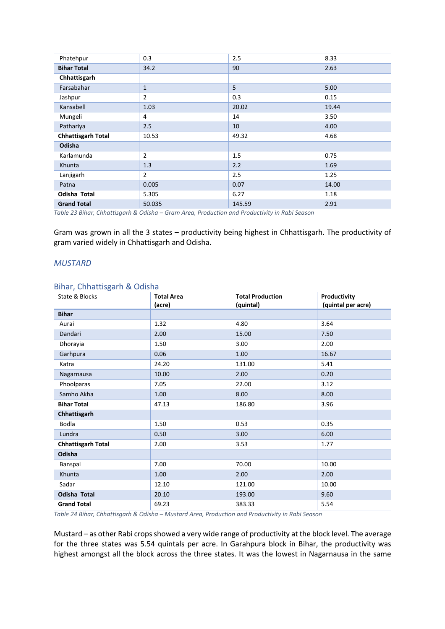| Phatehpur                 | 0.3            | 2.5    | 8.33  |
|---------------------------|----------------|--------|-------|
| <b>Bihar Total</b>        | 34.2           | 90     | 2.63  |
| Chhattisgarh              |                |        |       |
| Farsabahar                | $\mathbf{1}$   | 5      | 5.00  |
| Jashpur                   | $\overline{2}$ | 0.3    | 0.15  |
| Kansabell                 | 1.03           | 20.02  | 19.44 |
| Mungeli                   | 4              | 14     | 3.50  |
| Pathariya                 | 2.5            | 10     | 4.00  |
| <b>Chhattisgarh Total</b> | 10.53          | 49.32  | 4.68  |
| Odisha                    |                |        |       |
| Karlamunda                | $\overline{2}$ | 1.5    | 0.75  |
| Khunta                    | 1.3            | 2.2    | 1.69  |
| Lanjigarh                 | $\overline{2}$ | 2.5    | 1.25  |
| Patna                     | 0.005          | 0.07   | 14.00 |
| Odisha Total              | 5.305          | 6.27   | 1.18  |
| <b>Grand Total</b>        | 50.035         | 145.59 | 2.91  |

<span id="page-20-0"></span>*Table 23 Bihar, Chhattisgarh & Odisha – Gram Area, Production and Productivity in Rabi Season*

Gram was grown in all the 3 states – productivity being highest in Chhattisgarh. The productivity of gram varied widely in Chhattisgarh and Odisha.

#### *MUSTARD*

#### Bihar, Chhattisgarh & Odisha

| State & Blocks            | <b>Total Area</b><br>(acre) | <b>Total Production</b><br>(quintal) | Productivity<br>(quintal per acre) |
|---------------------------|-----------------------------|--------------------------------------|------------------------------------|
| <b>Bihar</b>              |                             |                                      |                                    |
| Aurai                     | 1.32                        | 4.80                                 | 3.64                               |
| Dandari                   | 2.00                        | 15.00                                | 7.50                               |
| Dhorayia                  | 1.50                        | 3.00                                 | 2.00                               |
| Garhpura                  | 0.06                        | 1.00                                 | 16.67                              |
| Katra                     | 24.20                       | 131.00                               | 5.41                               |
| Nagarnausa                | 10.00                       | 2.00                                 | 0.20                               |
| Phoolparas                | 7.05                        | 22.00                                | 3.12                               |
| Samho Akha                | 1.00                        | 8.00                                 | 8.00                               |
| <b>Bihar Total</b>        | 47.13                       | 186.80                               | 3.96                               |
| Chhattisgarh              |                             |                                      |                                    |
| Bodla                     | 1.50                        | 0.53                                 | 0.35                               |
| Lundra                    | 0.50                        | 3.00                                 | 6.00                               |
| <b>Chhattisgarh Total</b> | 2.00                        | 3.53                                 | 1.77                               |
| Odisha                    |                             |                                      |                                    |
| Banspal                   | 7.00                        | 70.00                                | 10.00                              |
| Khunta                    | 1.00                        | 2.00                                 | 2.00                               |
| Sadar                     | 12.10                       | 121.00                               | 10.00                              |
| <b>Odisha Total</b>       | 20.10                       | 193.00                               | 9.60                               |
| <b>Grand Total</b>        | 69.23                       | 383.33                               | 5.54                               |

<span id="page-20-1"></span>*Table 24 Bihar, Chhattisgarh & Odisha – Mustard Area, Production and Productivity in Rabi Season*

Mustard – as other Rabi crops showed a very wide range of productivity at the block level. The average for the three states was 5.54 quintals per acre. In Garahpura block in Bihar, the productivity was highest amongst all the block across the three states. It was the lowest in Nagarnausa in the same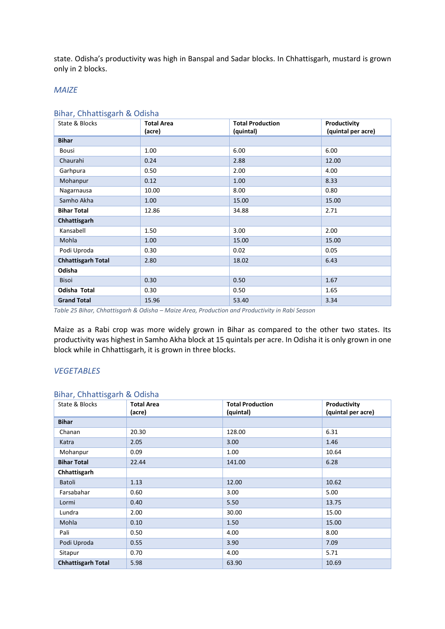state. Odisha's productivity was high in Banspal and Sadar blocks. In Chhattisgarh, mustard is grown only in 2 blocks.

#### *MAIZE*

#### Bihar, Chhattisgarh & Odisha

| State & Blocks            | <b>Total Area</b><br>(acre) | <b>Total Production</b> | Productivity<br>(quintal per acre) |
|---------------------------|-----------------------------|-------------------------|------------------------------------|
| <b>Bihar</b>              |                             | (quintal)               |                                    |
|                           |                             |                         |                                    |
| Bousi                     | 1.00                        | 6.00                    | 6.00                               |
| Chaurahi                  | 0.24                        | 2.88                    | 12.00                              |
| Garhpura                  | 0.50                        | 2.00                    | 4.00                               |
| Mohanpur                  | 0.12                        | 1.00                    | 8.33                               |
| Nagarnausa                | 10.00                       | 8.00                    | 0.80                               |
| Samho Akha                | 1.00                        | 15.00                   | 15.00                              |
| <b>Bihar Total</b>        | 12.86                       | 34.88                   | 2.71                               |
| Chhattisgarh              |                             |                         |                                    |
| Kansabell                 | 1.50                        | 3.00                    | 2.00                               |
| Mohla                     | 1.00                        | 15.00                   | 15.00                              |
| Podi Uproda               | 0.30                        | 0.02                    | 0.05                               |
| <b>Chhattisgarh Total</b> | 2.80                        | 18.02                   | 6.43                               |
| Odisha                    |                             |                         |                                    |
| <b>Bisoi</b>              | 0.30                        | 0.50                    | 1.67                               |
| Odisha Total              | 0.30                        | 0.50                    | 1.65                               |
| <b>Grand Total</b>        | 15.96                       | 53.40                   | 3.34                               |

<span id="page-21-0"></span>*Table 25 Bihar, Chhattisgarh & Odisha – Maize Area, Production and Productivity in Rabi Season*

Maize as a Rabi crop was more widely grown in Bihar as compared to the other two states. Its productivity was highest in Samho Akha block at 15 quintals per acre. In Odisha it is only grown in one block while in Chhattisgarh, it is grown in three blocks.

#### *VEGETABLES*

#### Bihar, Chhattisgarh & Odisha

| State & Blocks            | <b>Total Area</b><br>(acre) | <b>Total Production</b><br>(quintal) | Productivity<br>(quintal per acre) |
|---------------------------|-----------------------------|--------------------------------------|------------------------------------|
| <b>Bihar</b>              |                             |                                      |                                    |
| Chanan                    | 20.30                       | 128.00                               | 6.31                               |
| Katra                     | 2.05                        | 3.00                                 | 1.46                               |
| Mohanpur                  | 0.09                        | 1.00                                 | 10.64                              |
| <b>Bihar Total</b>        | 22.44                       | 141.00                               | 6.28                               |
| Chhattisgarh              |                             |                                      |                                    |
| Batoli                    | 1.13                        | 12.00                                | 10.62                              |
| Farsabahar                | 0.60                        | 3.00                                 | 5.00                               |
| Lormi                     | 0.40                        | 5.50                                 | 13.75                              |
| Lundra                    | 2.00                        | 30.00                                | 15.00                              |
| Mohla                     | 0.10                        | 1.50                                 | 15.00                              |
| Pali                      | 0.50                        | 4.00                                 | 8.00                               |
| Podi Uproda               | 0.55                        | 3.90                                 | 7.09                               |
| Sitapur                   | 0.70                        | 4.00                                 | 5.71                               |
| <b>Chhattisgarh Total</b> | 5.98                        | 63.90                                | 10.69                              |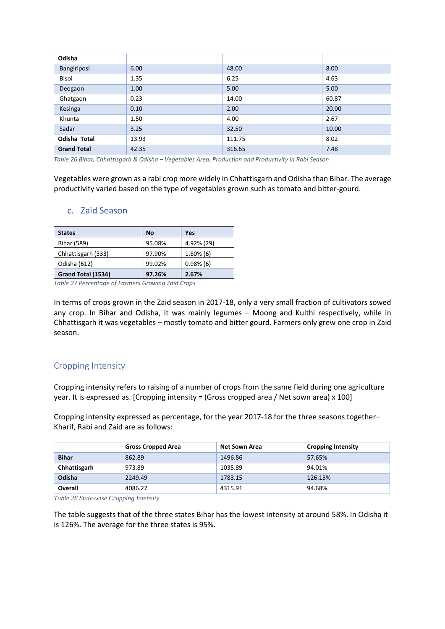| Odisha             |       |        |       |
|--------------------|-------|--------|-------|
| Bangiriposi        | 6.00  | 48.00  | 8.00  |
| Bisoi              | 1.35  | 6.25   | 4.63  |
| Deogaon            | 1.00  | 5.00   | 5.00  |
| Ghatgaon           | 0.23  | 14.00  | 60.87 |
| Kesinga            | 0.10  | 2.00   | 20.00 |
| Khunta             | 1.50  | 4.00   | 2.67  |
| Sadar              | 3.25  | 32.50  | 10.00 |
| Odisha Total       | 13.93 | 111.75 | 8.02  |
| <b>Grand Total</b> | 42.35 | 316.65 | 7.48  |

<span id="page-22-2"></span>*Table 26 Bihar, Chhattisgarh & Odisha – Vegetables Area, Production and Productivity in Rabi Season*

Vegetables were grown as a rabi crop more widely in Chhattisgarh and Odisha than Bihar. The average productivity varied based on the type of vegetables grown such as tomato and bitter-gourd.

| <b>States</b>      | <b>No</b> | Yes          |
|--------------------|-----------|--------------|
| Bihar (589)        | 95.08%    | 4.92% (29)   |
| Chhattisgarh (333) | 97.90%    | $1.80\%$ (6) |
| Odisha (612)       | 99.02%    | $0.98\%$ (6) |
| Grand Total (1534) | 97.26%    | 2.67%        |

## <span id="page-22-0"></span>c. Zaid Season

<span id="page-22-3"></span>*Table 27 Percentage of Farmers Growing Zaid Crops*

In terms of crops grown in the Zaid season in 2017-18, only a very small fraction of cultivators sowed any crop. In Bihar and Odisha, it was mainly legumes – Moong and Kulthi respectively, while in Chhattisgarh it was vegetables – mostly tomato and bitter gourd. Farmers only grew one crop in Zaid season.

## <span id="page-22-1"></span>Cropping Intensity

Cropping intensity refers to raising of a number of crops from the same field during one agriculture year. It is expressed as. [Cropping intensity = (Gross cropped area / Net sown area) x 100]

Cropping intensity expressed as percentage, for the year 2017-18 for the three seasons together– Kharif, Rabi and Zaid are as follows:

|              | <b>Gross Cropped Area</b> | <b>Net Sown Area</b> | <b>Cropping Intensity</b> |
|--------------|---------------------------|----------------------|---------------------------|
| <b>Bihar</b> | 862.89                    | 1496.86              | 57.65%                    |
| Chhattisgarh | 973.89                    | 1035.89              | 94.01%                    |
| Odisha       | 2249.49                   | 1783.15              | 126.15%                   |
| Overall      | 4086.27                   | 4315.91              | 94.68%                    |

<span id="page-22-4"></span>*Table 28 State-wise Cropping Intensity*

The table suggests that of the three states Bihar has the lowest intensity at around 58%. In Odisha it is 126%. The average for the three states is 95%.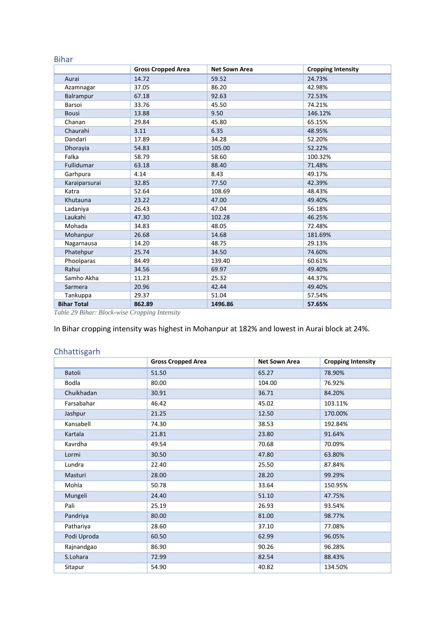### Bihar

|                    | <b>Gross Cropped Area</b> | <b>Net Sown Area</b> | <b>Cropping Intensity</b> |
|--------------------|---------------------------|----------------------|---------------------------|
| Aurai              | 14.72                     | 59.52                | 24.73%                    |
| Azamnagar          | 37.05                     | 86.20                | 42.98%                    |
| Balrampur          | 67.18                     | 92.63                | 72.53%                    |
| Barsoi             | 33.76                     | 45.50                | 74.21%                    |
| <b>Bousi</b>       | 13.88                     | 9.50                 | 146.12%                   |
| Chanan             | 29.84                     | 45.80                | 65.15%                    |
| Chaurahi           | 3.11                      | 6.35                 | 48.95%                    |
| Dandari            | 17.89                     | 34.28                | 52.20%                    |
| Dhorayia           | 54.83                     | 105.00               | 52.22%                    |
| Falka              | 58.79                     | 58.60                | 100.32%                   |
| Fullidumar         | 63.18                     | 88.40                | 71.48%                    |
| Garhpura           | 4.14                      | 8.43                 | 49.17%                    |
| Karaiparsurai      | 32.85                     | 77.50                | 42.39%                    |
| Katra              | 52.64                     | 108.69               | 48.43%                    |
| Khutauna           | 23.22                     | 47.00                | 49.40%                    |
| Ladaniya           | 26.43                     | 47.04                | 56.18%                    |
| Laukahi            | 47.30                     | 102.28               | 46.25%                    |
| Mohada             | 34.83                     | 48.05                | 72.48%                    |
| Mohanpur           | 26.68                     | 14.68                | 181.69%                   |
| Nagarnausa         | 14.20                     | 48.75                | 29.13%                    |
| Phatehpur          | 25.74                     | 34.50                | 74.60%                    |
| Phoolparas         | 84.49                     | 139.40               | 60.61%                    |
| Rahui              | 34.56                     | 69.97                | 49.40%                    |
| Samho Akha         | 11.23                     | 25.32                | 44.37%                    |
| Sarmera            | 20.96                     | 42.44                | 49.40%                    |
| Tankuppa           | 29.37                     | 51.04                | 57.54%                    |
| <b>Bihar Total</b> | 862.89                    | 1496.86              | 57.65%                    |

<span id="page-23-0"></span>*Table 29 Bihar: Block-wise Cropping Intensity*

In Bihar cropping intensity was highest in Mohanpur at 182% and lowest in Aurai block at 24%.

## Chhattisgarh

|              | <b>Gross Cropped Area</b> | <b>Net Sown Area</b> | <b>Cropping Intensity</b> |
|--------------|---------------------------|----------------------|---------------------------|
| Batoli       | 51.50                     | 65.27                | 78.90%                    |
| <b>Bodla</b> | 80.00                     | 104.00               | 76.92%                    |
| Chuikhadan   | 30.91                     | 36.71                | 84.20%                    |
| Farsabahar   | 46.42                     | 45.02                | 103.11%                   |
| Jashpur      | 21.25                     | 12.50                | 170.00%                   |
| Kansabell    | 74.30                     | 38.53                | 192.84%                   |
| Kartala      | 21.81                     | 23.80                | 91.64%                    |
| Kavrdha      | 49.54                     | 70.68                | 70.09%                    |
| Lormi        | 30.50                     | 47.80                | 63.80%                    |
| Lundra       | 22.40                     | 25.50                | 87.84%                    |
| Masturi      | 28.00                     | 28.20                | 99.29%                    |
| Mohla        | 50.78                     | 33.64                | 150.95%                   |
| Mungeli      | 24.40                     | 51.10                | 47.75%                    |
| Pali         | 25.19                     | 26.93                | 93.54%                    |
| Pandriya     | 80.00                     | 81.00                | 98.77%                    |
| Pathariya    | 28.60                     | 37.10                | 77.08%                    |
| Podi Uproda  | 60.50                     | 62.99                | 96.05%                    |
| Rajnandgao   | 86.90                     | 90.26                | 96.28%                    |
| S.Lohara     | 72.99                     | 82.54                | 88.43%                    |
| Sitapur      | 54.90                     | 40.82                | 134.50%                   |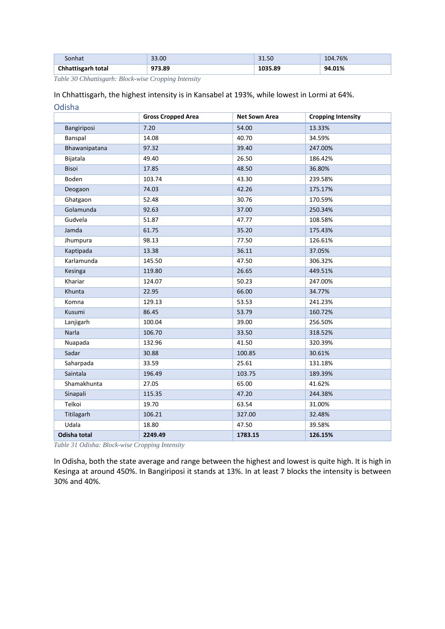| Sonhat             | 33.00  | 31.50   | 104.76% |
|--------------------|--------|---------|---------|
| Chhattisgarh total | 973.89 | 1035.89 | 94.01%  |

<span id="page-24-0"></span>*Table 30 Chhattisgarh: Block-wise Cropping Intensity*

In Chhattisgarh, the highest intensity is in Kansabel at 193%, while lowest in Lormi at 64%.

| Odisha              |                           |                      |                           |  |
|---------------------|---------------------------|----------------------|---------------------------|--|
|                     | <b>Gross Cropped Area</b> | <b>Net Sown Area</b> | <b>Cropping Intensity</b> |  |
| Bangiriposi         | 7.20                      | 54.00                | 13.33%                    |  |
| Banspal             | 14.08                     | 40.70                | 34.59%                    |  |
| Bhawanipatana       | 97.32                     | 39.40                | 247.00%                   |  |
| Bijatala            | 49.40                     | 26.50                | 186.42%                   |  |
| <b>Bisoi</b>        | 17.85                     | 48.50                | 36.80%                    |  |
| Boden               | 103.74                    | 43.30                | 239.58%                   |  |
| Deogaon             | 74.03                     | 42.26                | 175.17%                   |  |
| Ghatgaon            | 52.48                     | 30.76                | 170.59%                   |  |
| Golamunda           | 92.63                     | 37.00                | 250.34%                   |  |
| Gudvela             | 51.87                     | 47.77                | 108.58%                   |  |
| Jamda               | 61.75                     | 35.20                | 175.43%                   |  |
| Jhumpura            | 98.13                     | 77.50                | 126.61%                   |  |
| Kaptipada           | 13.38                     | 36.11                | 37.05%                    |  |
| Karlamunda          | 145.50                    | 47.50                | 306.32%                   |  |
| Kesinga             | 119.80                    | 26.65                | 449.51%                   |  |
| Khariar             | 124.07                    | 50.23                | 247.00%                   |  |
| Khunta              | 22.95                     | 66.00                | 34.77%                    |  |
| Komna               | 129.13                    | 53.53                | 241.23%                   |  |
| Kusumi              | 86.45                     | 53.79                | 160.72%                   |  |
| Lanjigarh           | 100.04                    | 39.00                | 256.50%                   |  |
| Narla               | 106.70                    | 33.50                | 318.52%                   |  |
| Nuapada             | 132.96                    | 41.50                | 320.39%                   |  |
| Sadar               | 30.88                     | 100.85               | 30.61%                    |  |
| Saharpada           | 33.59                     | 25.61                | 131.18%                   |  |
| Saintala            | 196.49                    | 103.75               | 189.39%                   |  |
| Shamakhunta         | 27.05                     | 65.00                | 41.62%                    |  |
| Sinapali            | 115.35                    | 47.20                | 244.38%                   |  |
| Telkoi              | 19.70                     | 63.54                | 31.00%                    |  |
| Titilagarh          | 106.21                    | 327.00               | 32.48%                    |  |
| Udala               | 18.80                     | 47.50                | 39.58%                    |  |
| <b>Odisha total</b> | 2249.49                   | 1783.15              | 126.15%                   |  |

<span id="page-24-1"></span>*Table 31 Odisha: Block-wise Cropping Intensity*

In Odisha, both the state average and range between the highest and lowest is quite high. It is high in Kesinga at around 450%. In Bangiriposi it stands at 13%. In at least 7 blocks the intensity is between 30% and 40%.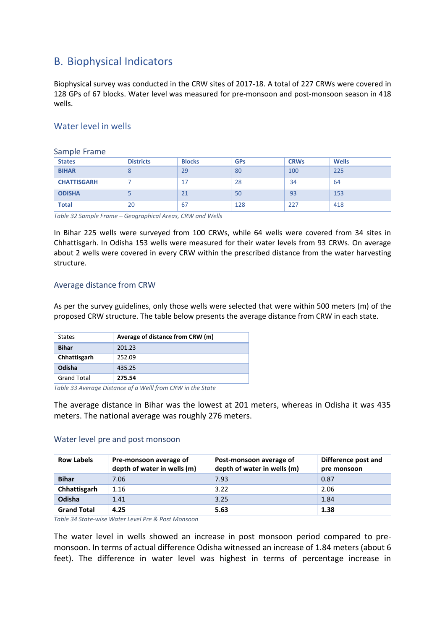# <span id="page-25-0"></span>B. Biophysical Indicators

Biophysical survey was conducted in the CRW sites of 2017-18. A total of 227 CRWs were covered in 128 GPs of 67 blocks. Water level was measured for pre-monsoon and post-monsoon season in 418 wells.

## <span id="page-25-1"></span>Water level in wells

<span id="page-25-2"></span>

| Sample Frame       |                  |               |            |             |              |
|--------------------|------------------|---------------|------------|-------------|--------------|
| <b>States</b>      | <b>Districts</b> | <b>Blocks</b> | <b>GPs</b> | <b>CRWs</b> | <b>Wells</b> |
| <b>BIHAR</b>       | 8                | 29            | 80         | 100         | 225          |
| <b>CHATTISGARH</b> |                  | 17            | 28         | 34          | 64           |
| <b>ODISHA</b>      |                  | 21            | 50         | 93          | 153          |
| <b>Total</b>       | 20               | 67            | 128        | 227         | 418          |

<span id="page-25-5"></span>*Table 32 Sample Frame – Geographical Areas, CRW and Wells*

In Bihar 225 wells were surveyed from 100 CRWs, while 64 wells were covered from 34 sites in Chhattisgarh. In Odisha 153 wells were measured for their water levels from 93 CRWs. On average about 2 wells were covered in every CRW within the prescribed distance from the water harvesting structure.

## <span id="page-25-3"></span>Average distance from CRW

As per the survey guidelines, only those wells were selected that were within 500 meters (m) of the proposed CRW structure. The table below presents the average distance from CRW in each state.

| <b>States</b>      | Average of distance from CRW (m) |
|--------------------|----------------------------------|
| <b>Bihar</b>       | 201.23                           |
| Chhattisgarh       | 252.09                           |
| Odisha             | 435.25                           |
| <b>Grand Total</b> | 275.54                           |

<span id="page-25-6"></span>*Table 33 Average Distance of a Welll from CRW in the State*

The average distance in Bihar was the lowest at 201 meters, whereas in Odisha it was 435 meters. The national average was roughly 276 meters.

## <span id="page-25-4"></span>Water level pre and post monsoon

| <b>Row Labels</b>  | Pre-monsoon average of<br>depth of water in wells (m) | Post-monsoon average of<br>depth of water in wells (m) | Difference post and<br>pre monsoon |
|--------------------|-------------------------------------------------------|--------------------------------------------------------|------------------------------------|
| <b>Bihar</b>       | 7.06                                                  | 7.93                                                   | 0.87                               |
| Chhattisgarh       | 1.16                                                  | 3.22                                                   | 2.06                               |
| Odisha             | 1.41                                                  | 3.25                                                   | 1.84                               |
| <b>Grand Total</b> | 4.25                                                  | 5.63                                                   | 1.38                               |

<span id="page-25-7"></span>*Table 34 State-wise Water Level Pre & Post Monsoon*

The water level in wells showed an increase in post monsoon period compared to premonsoon. In terms of actual difference Odisha witnessed an increase of 1.84 meters (about 6 feet). The difference in water level was highest in terms of percentage increase in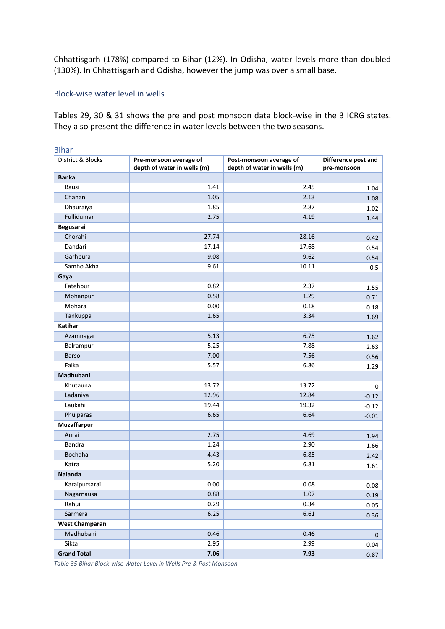Chhattisgarh (178%) compared to Bihar (12%). In Odisha, water levels more than doubled (130%). In Chhattisgarh and Odisha, however the jump was over a small base.

#### <span id="page-26-0"></span>Block-wise water level in wells

Tables 29, 30 & 31 shows the pre and post monsoon data block-wise in the 3 ICRG states. They also present the difference in water levels between the two seasons.

| <b>Bihar</b>          |                             |                             |                     |
|-----------------------|-----------------------------|-----------------------------|---------------------|
| District & Blocks     | Pre-monsoon average of      | Post-monsoon average of     | Difference post and |
| <b>Banka</b>          | depth of water in wells (m) | depth of water in wells (m) | pre-monsoon         |
| Bausi                 | 1.41                        | 2.45                        |                     |
| Chanan                | 1.05                        | 2.13                        | 1.04                |
|                       |                             |                             | 1.08                |
| Dhauraiya             | 1.85                        | 2.87                        | 1.02                |
| Fullidumar            | 2.75                        | 4.19                        | 1.44                |
| Begusarai             |                             |                             |                     |
| Chorahi               | 27.74                       | 28.16                       | 0.42                |
| Dandari               | 17.14                       | 17.68                       | 0.54                |
| Garhpura              | 9.08                        | 9.62                        | 0.54                |
| Samho Akha            | 9.61                        | 10.11                       | 0.5                 |
| Gaya                  |                             |                             |                     |
| Fatehpur              | 0.82                        | 2.37                        | 1.55                |
| Mohanpur              | 0.58                        | 1.29                        | 0.71                |
| Mohara                | 0.00                        | 0.18                        | 0.18                |
| Tankuppa              | 1.65                        | 3.34                        | 1.69                |
| Katihar               |                             |                             |                     |
| Azamnagar             | 5.13                        | 6.75                        | 1.62                |
| Balrampur             | 5.25                        | 7.88                        | 2.63                |
| Barsoi                | 7.00                        | 7.56                        | 0.56                |
| Falka                 | 5.57                        | 6.86                        | 1.29                |
| Madhubani             |                             |                             |                     |
| Khutauna              | 13.72                       | 13.72                       | 0                   |
| Ladaniya              | 12.96                       | 12.84                       | $-0.12$             |
| Laukahi               | 19.44                       | 19.32                       | $-0.12$             |
| Phulparas             | 6.65                        | 6.64                        | $-0.01$             |
| Muzaffarpur           |                             |                             |                     |
| Aurai                 | 2.75                        | 4.69                        | 1.94                |
| <b>Bandra</b>         | 1.24                        | 2.90                        | 1.66                |
| Bochaha               | 4.43                        | 6.85                        | 2.42                |
| Katra                 | 5.20                        | 6.81                        | 1.61                |
| <b>Nalanda</b>        |                             |                             |                     |
| Karaipursarai         | 0.00                        | 0.08                        | 0.08                |
| Nagarnausa            | 0.88                        | 1.07                        | 0.19                |
| Rahui                 | 0.29                        | 0.34                        | 0.05                |
| Sarmera               | 6.25                        | 6.61                        | 0.36                |
| <b>West Champaran</b> |                             |                             |                     |
| Madhubani             | 0.46                        | 0.46                        | $\mathsf{O}\xspace$ |
| Sikta                 | 2.95                        | 2.99                        | 0.04                |
| <b>Grand Total</b>    | 7.06                        | 7.93                        | 0.87                |

<span id="page-26-1"></span>*Table 35 Bihar Block-wise Water Level in Wells Pre & Post Monsoon*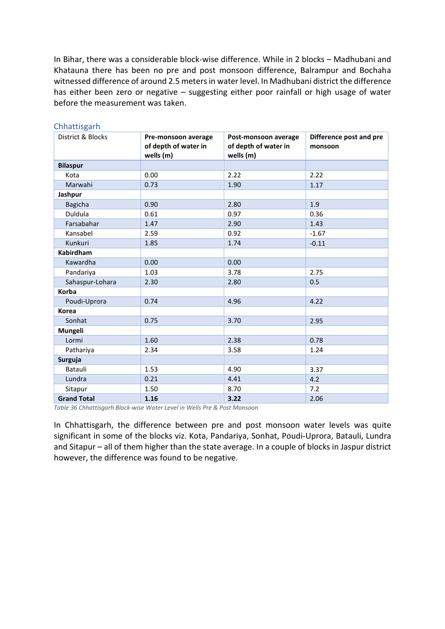In Bihar, there was a considerable block-wise difference. While in 2 blocks – Madhubani and Khatauna there has been no pre and post monsoon difference, Balrampur and Bochaha witnessed difference of around 2.5 metersin water level. In Madhubani district the difference has either been zero or negative – suggesting either poor rainfall or high usage of water before the measurement was taken.

| District & Blocks  | Pre-monsoon average<br>of depth of water in | Post-monsoon average<br>of depth of water in | Difference post and pre<br>monsoon |
|--------------------|---------------------------------------------|----------------------------------------------|------------------------------------|
|                    | wells (m)                                   | wells (m)                                    |                                    |
| <b>Bilaspur</b>    |                                             |                                              |                                    |
| Kota               | 0.00                                        | 2.22                                         | 2.22                               |
| Marwahi            | 0.73                                        | 1.90                                         | 1.17                               |
| Jashpur            |                                             |                                              |                                    |
| <b>Bagicha</b>     | 0.90                                        | 2.80                                         | 1.9                                |
| Duldula            | 0.61                                        | 0.97                                         | 0.36                               |
| Farsabahar         | 1.47                                        | 2.90                                         | 1.43                               |
| Kansabel           | 2.59                                        | 0.92                                         | $-1.67$                            |
| Kunkuri            | 1.85                                        | 1.74                                         | $-0.11$                            |
| Kabirdham          |                                             |                                              |                                    |
| Kawardha           | 0.00                                        | 0.00                                         |                                    |
| Pandariya          | 1.03                                        | 3.78                                         | 2.75                               |
| Sahaspur-Lohara    | 2.30                                        | 2.80                                         | 0.5                                |
| Korba              |                                             |                                              |                                    |
| Poudi-Uprora       | 0.74                                        | 4.96                                         | 4.22                               |
| <b>Korea</b>       |                                             |                                              |                                    |
| Sonhat             | 0.75                                        | 3.70                                         | 2.95                               |
| Mungeli            |                                             |                                              |                                    |
| Lormi              | 1.60                                        | 2.38                                         | 0.78                               |
| Pathariya          | 2.34                                        | 3.58                                         | 1.24                               |
| Surguja            |                                             |                                              |                                    |
| Batauli            | 1.53                                        | 4.90                                         | 3.37                               |
| Lundra             | 0.21                                        | 4.41                                         | 4.2                                |
| Sitapur            | 1.50                                        | 8.70                                         | 7.2                                |
| <b>Grand Total</b> | 1.16                                        | 3.22                                         | 2.06                               |

#### Chhattisgarh

<span id="page-27-0"></span>*Table 36 Chhattisgarh Block-wise Water Level in Wells Pre & Post Monsoon*

In Chhattisgarh, the difference between pre and post monsoon water levels was quite significant in some of the blocks viz. Kota, Pandariya, Sonhat, Poudi-Uprora, Batauli, Lundra and Sitapur – all of them higher than the state average. In a couple of blocks in Jaspur district however, the difference was found to be negative.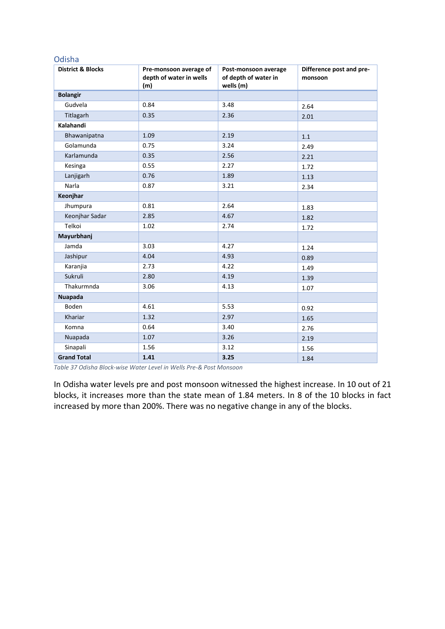#### Odisha

| <b>District &amp; Blocks</b> | Pre-monsoon average of<br>depth of water in wells<br>(m) | Post-monsoon average<br>of depth of water in<br>wells (m) | Difference post and pre-<br>monsoon |
|------------------------------|----------------------------------------------------------|-----------------------------------------------------------|-------------------------------------|
| <b>Bolangir</b>              |                                                          |                                                           |                                     |
| Gudvela                      | 0.84                                                     | 3.48                                                      | 2.64                                |
| Titlagarh                    | 0.35                                                     | 2.36                                                      | 2.01                                |
| Kalahandi                    |                                                          |                                                           |                                     |
| Bhawanipatna                 | 1.09                                                     | 2.19                                                      | 1.1                                 |
| Golamunda                    | 0.75                                                     | 3.24                                                      | 2.49                                |
| Karlamunda                   | 0.35                                                     | 2.56                                                      | 2.21                                |
| Kesinga                      | 0.55                                                     | 2.27                                                      | 1.72                                |
| Lanjigarh                    | 0.76                                                     | 1.89                                                      | 1.13                                |
| Narla                        | 0.87                                                     | 3.21                                                      | 2.34                                |
| Keonjhar                     |                                                          |                                                           |                                     |
| Jhumpura                     | 0.81                                                     | 2.64                                                      | 1.83                                |
| Keonjhar Sadar               | 2.85                                                     | 4.67                                                      | 1.82                                |
| Telkoi                       | 1.02                                                     | 2.74                                                      | 1.72                                |
| Mayurbhanj                   |                                                          |                                                           |                                     |
| Jamda                        | 3.03                                                     | 4.27                                                      | 1.24                                |
| Jashipur                     | 4.04                                                     | 4.93                                                      | 0.89                                |
| Karanjia                     | 2.73                                                     | 4.22                                                      | 1.49                                |
| Sukruli                      | 2.80                                                     | 4.19                                                      | 1.39                                |
| Thakurmnda                   | 3.06                                                     | 4.13                                                      | 1.07                                |
| <b>Nuapada</b>               |                                                          |                                                           |                                     |
| Boden                        | 4.61                                                     | 5.53                                                      | 0.92                                |
| Khariar                      | 1.32                                                     | 2.97                                                      | 1.65                                |
| Komna                        | 0.64                                                     | 3.40                                                      | 2.76                                |
| Nuapada                      | 1.07                                                     | 3.26                                                      | 2.19                                |
| Sinapali                     | 1.56                                                     | 3.12                                                      | 1.56                                |
| <b>Grand Total</b>           | 1.41                                                     | 3.25                                                      | 1.84                                |

<span id="page-28-0"></span>*Table 37 Odisha Block-wise Water Level in Wells Pre-& Post Monsoon*

In Odisha water levels pre and post monsoon witnessed the highest increase. In 10 out of 21 blocks, it increases more than the state mean of 1.84 meters. In 8 of the 10 blocks in fact increased by more than 200%. There was no negative change in any of the blocks.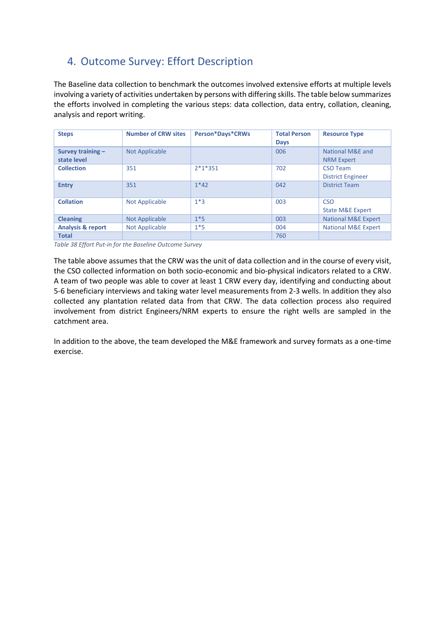# <span id="page-29-0"></span>4. Outcome Survey: Effort Description

The Baseline data collection to benchmark the outcomes involved extensive efforts at multiple levels involving a variety of activities undertaken by persons with differing skills. The table below summarizes the efforts involved in completing the various steps: data collection, data entry, collation, cleaning, analysis and report writing.

| <b>Steps</b>                       | <b>Number of CRW sites</b> | <b>Person*Days*CRWs</b> | <b>Total Person</b><br><b>Days</b> | <b>Resource Type</b>                      |
|------------------------------------|----------------------------|-------------------------|------------------------------------|-------------------------------------------|
| Survey training $-$<br>state level | <b>Not Applicable</b>      |                         | 006                                | National M&E and<br><b>NRM Expert</b>     |
| <b>Collection</b>                  | 351                        | $2*1*351$               | 702                                | CSO Team<br><b>District Engineer</b>      |
| <b>Entry</b>                       | 351                        | $1*42$                  | 042                                | <b>District Team</b>                      |
| <b>Collation</b>                   | <b>Not Applicable</b>      | $1*3$                   | 003                                | <b>CSO</b><br><b>State M&amp;E Expert</b> |
| <b>Cleaning</b>                    | <b>Not Applicable</b>      | $1*5$                   | 003                                | <b>National M&amp;E Expert</b>            |
| <b>Analysis &amp; report</b>       | Not Applicable             | $1*5$                   | 004                                | <b>National M&amp;E Expert</b>            |
| <b>Total</b>                       |                            |                         | 760                                |                                           |

<span id="page-29-1"></span>*Table 38 Effort Put-in for the Baseline Outcome Survey*

The table above assumes that the CRW was the unit of data collection and in the course of every visit, the CSO collected information on both socio-economic and bio-physical indicators related to a CRW. A team of two people was able to cover at least 1 CRW every day, identifying and conducting about 5-6 beneficiary interviews and taking water level measurements from 2-3 wells. In addition they also collected any plantation related data from that CRW. The data collection process also required involvement from district Engineers/NRM experts to ensure the right wells are sampled in the catchment area.

In addition to the above, the team developed the M&E framework and survey formats as a one-time exercise.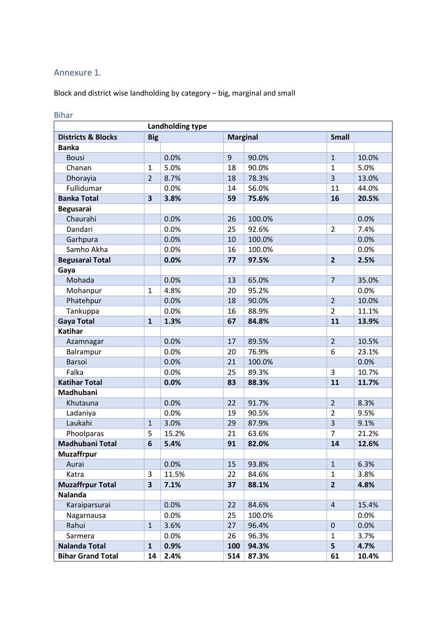## <span id="page-30-0"></span>Annexure 1.

Block and district wise landholding by category – big, marginal and small

|                               |                         | Landholding type |     |                 |                |       |
|-------------------------------|-------------------------|------------------|-----|-----------------|----------------|-------|
| <b>Districts &amp; Blocks</b> | <b>Big</b>              |                  |     | <b>Marginal</b> | <b>Small</b>   |       |
| <b>Banka</b>                  |                         |                  |     |                 |                |       |
| <b>Bousi</b>                  |                         | 0.0%             | 9   | 90.0%           | $\mathbf{1}$   | 10.0% |
| Chanan                        | $\mathbf{1}$            | 5.0%             | 18  | 90.0%           | $\mathbf{1}$   | 5.0%  |
| Dhorayia                      | $\overline{2}$          | 8.7%             | 18  | 78.3%           | 3              | 13.0% |
| Fullidumar                    |                         | 0.0%             | 14  | 56.0%           | 11             | 44.0% |
| <b>Banka Total</b>            | 3                       | 3.8%             | 59  | 75.6%           | 16             | 20.5% |
| <b>Begusarai</b>              |                         |                  |     |                 |                |       |
| Chaurahi                      |                         | 0.0%             | 26  | 100.0%          |                | 0.0%  |
| Dandari                       |                         | 0.0%             | 25  | 92.6%           | $\overline{2}$ | 7.4%  |
| Garhpura                      |                         | 0.0%             | 10  | 100.0%          |                | 0.0%  |
| Samho Akha                    |                         | 0.0%             | 16  | 100.0%          |                | 0.0%  |
| <b>Begusarai Total</b>        |                         | 0.0%             | 77  | 97.5%           | $\overline{2}$ | 2.5%  |
| Gaya                          |                         |                  |     |                 |                |       |
| Mohada                        |                         | 0.0%             | 13  | 65.0%           | $\overline{7}$ | 35.0% |
| Mohanpur                      | $\mathbf 1$             | 4.8%             | 20  | 95.2%           |                | 0.0%  |
| Phatehpur                     |                         | 0.0%             | 18  | 90.0%           | $\overline{2}$ | 10.0% |
| Tankuppa                      |                         | 0.0%             | 16  | 88.9%           | $\overline{2}$ | 11.1% |
| <b>Gaya Total</b>             | $\mathbf{1}$            | 1.3%             | 67  | 84.8%           | 11             | 13.9% |
| <b>Katihar</b>                |                         |                  |     |                 |                |       |
| Azamnagar                     |                         | 0.0%             | 17  | 89.5%           | $\overline{2}$ | 10.5% |
| Balrampur                     |                         | 0.0%             | 20  | 76.9%           | 6              | 23.1% |
| Barsoi                        |                         | 0.0%             | 21  | 100.0%          |                | 0.0%  |
| Falka                         |                         | 0.0%             | 25  | 89.3%           | 3              | 10.7% |
| <b>Katihar Total</b>          |                         | 0.0%             | 83  | 88.3%           | 11             | 11.7% |
| Madhubani                     |                         |                  |     |                 |                |       |
| Khutauna                      |                         | 0.0%             | 22  | 91.7%           | $\overline{2}$ | 8.3%  |
| Ladaniya                      |                         | 0.0%             | 19  | 90.5%           | $\overline{2}$ | 9.5%  |
| Laukahi                       | $\mathbf{1}$            | 3.0%             | 29  | 87.9%           | 3              | 9.1%  |
| Phoolparas                    | 5                       | 15.2%            | 21  | 63.6%           | $\overline{7}$ | 21.2% |
| Madhubani Total               | 6                       | 5.4%             | 91  | 82.0%           | 14             | 12.6% |
| <b>Muzaffrpur</b>             |                         |                  |     |                 |                |       |
| Aurai                         |                         | 0.0%             | 15  | 93.8%           | $\mathbf{1}$   | 6.3%  |
| Katra                         | 3                       | 11.5%            | 22  | 84.6%           | $\mathbf{1}$   | 3.8%  |
| <b>Muzaffrpur Total</b>       | $\overline{\mathbf{3}}$ | 7.1%             | 37  | 88.1%           | $\overline{2}$ | 4.8%  |
| <b>Nalanda</b>                |                         |                  |     |                 |                |       |
| Karaiparsurai                 |                         | 0.0%             | 22  | 84.6%           | $\overline{4}$ | 15.4% |
| Nagarnausa                    |                         | 0.0%             | 25  | 100.0%          |                | 0.0%  |
| Rahui                         | $\mathbf{1}$            | 3.6%             | 27  | 96.4%           | $\pmb{0}$      | 0.0%  |
| Sarmera                       |                         | 0.0%             | 26  | 96.3%           | 1              | 3.7%  |
| <b>Nalanda Total</b>          | $\mathbf{1}$            | 0.9%             | 100 | 94.3%           | 5              | 4.7%  |
| <b>Bihar Grand Total</b>      | 14                      | 2.4%             | 514 | 87.3%           | 61             | 10.4% |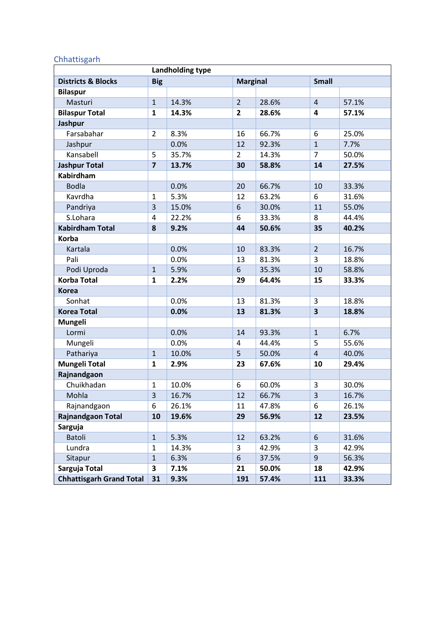## **Chhattisgarh**

| <b>Landholding type</b>         |                         |       |                 |       |                |       |
|---------------------------------|-------------------------|-------|-----------------|-------|----------------|-------|
| <b>Districts &amp; Blocks</b>   | <b>Big</b>              |       | <b>Marginal</b> |       | <b>Small</b>   |       |
| <b>Bilaspur</b>                 |                         |       |                 |       |                |       |
| Masturi                         | $\mathbf{1}$            | 14.3% | $\overline{2}$  | 28.6% | $\overline{4}$ | 57.1% |
| <b>Bilaspur Total</b>           | $\mathbf{1}$            | 14.3% | $\overline{2}$  | 28.6% | 4              | 57.1% |
| Jashpur                         |                         |       |                 |       |                |       |
| Farsabahar                      | $\overline{2}$          | 8.3%  | 16              | 66.7% | 6              | 25.0% |
| Jashpur                         |                         | 0.0%  | 12              | 92.3% | $\mathbf{1}$   | 7.7%  |
| Kansabell                       | 5                       | 35.7% | $\overline{2}$  | 14.3% | $\overline{7}$ | 50.0% |
| <b>Jashpur Total</b>            | $\overline{\mathbf{z}}$ | 13.7% | 30              | 58.8% | 14             | 27.5% |
| <b>Kabirdham</b>                |                         |       |                 |       |                |       |
| <b>Bodla</b>                    |                         | 0.0%  | 20              | 66.7% | 10             | 33.3% |
| Kavrdha                         | $\mathbf{1}$            | 5.3%  | 12              | 63.2% | 6              | 31.6% |
| Pandriya                        | 3                       | 15.0% | 6               | 30.0% | 11             | 55.0% |
| S.Lohara                        | 4                       | 22.2% | 6               | 33.3% | 8              | 44.4% |
| <b>Kabirdham Total</b>          | 8                       | 9.2%  | 44              | 50.6% | 35             | 40.2% |
| <b>Korba</b>                    |                         |       |                 |       |                |       |
| Kartala                         |                         | 0.0%  | 10              | 83.3% | $\overline{2}$ | 16.7% |
| Pali                            |                         | 0.0%  | 13              | 81.3% | 3              | 18.8% |
| Podi Uproda                     | $\mathbf{1}$            | 5.9%  | 6               | 35.3% | 10             | 58.8% |
| <b>Korba Total</b>              | $\mathbf{1}$            | 2.2%  | 29              | 64.4% | 15             | 33.3% |
| <b>Korea</b>                    |                         |       |                 |       |                |       |
| Sonhat                          |                         | 0.0%  | 13              | 81.3% | 3              | 18.8% |
| <b>Korea Total</b>              |                         | 0.0%  | 13              | 81.3% | 3              | 18.8% |
| Mungeli                         |                         |       |                 |       |                |       |
| Lormi                           |                         | 0.0%  | 14              | 93.3% | $\mathbf{1}$   | 6.7%  |
| Mungeli                         |                         | 0.0%  | 4               | 44.4% | 5              | 55.6% |
| Pathariya                       | $\mathbf{1}$            | 10.0% | 5               | 50.0% | $\overline{4}$ | 40.0% |
| <b>Mungeli Total</b>            | $\mathbf{1}$            | 2.9%  | 23              | 67.6% | 10             | 29.4% |
| Rajnandgaon                     |                         |       |                 |       |                |       |
| Chuikhadan                      | $\mathbf{1}$            | 10.0% | 6               | 60.0% | 3              | 30.0% |
| Mohla                           | 3                       | 16.7% | 12              | 66.7% | 3              | 16.7% |
| Rajnandgaon                     | 6                       | 26.1% | 11              | 47.8% | 6              | 26.1% |
| <b>Rajnandgaon Total</b>        | 10                      | 19.6% | 29              | 56.9% | 12             | 23.5% |
| Sarguja                         |                         |       |                 |       |                |       |
| <b>Batoli</b>                   | $\mathbf 1$             | 5.3%  | 12              | 63.2% | 6              | 31.6% |
| Lundra                          | $\mathbf{1}$            | 14.3% | 3               | 42.9% | 3              | 42.9% |
| Sitapur                         | $\mathbf 1$             | 6.3%  | 6               | 37.5% | 9              | 56.3% |
| Sarguja Total                   | 3                       | 7.1%  | 21              | 50.0% | 18             | 42.9% |
| <b>Chhattisgarh Grand Total</b> | 31                      | 9.3%  | 191             | 57.4% | 111            | 33.3% |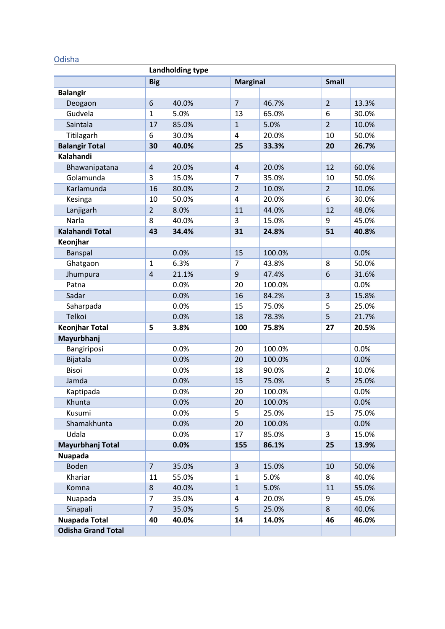## Odisha

| Landholding type          |                |       |                 |        |                  |       |
|---------------------------|----------------|-------|-----------------|--------|------------------|-------|
|                           | <b>Big</b>     |       | <b>Marginal</b> |        | <b>Small</b>     |       |
| <b>Balangir</b>           |                |       |                 |        |                  |       |
| Deogaon                   | 6              | 40.0% | $\overline{7}$  | 46.7%  | $\overline{2}$   | 13.3% |
| Gudvela                   | $\mathbf{1}$   | 5.0%  | 13              | 65.0%  | 6                | 30.0% |
| Saintala                  | 17             | 85.0% | $\mathbf{1}$    | 5.0%   | $\overline{2}$   | 10.0% |
| Titilagarh                | 6              | 30.0% | 4               | 20.0%  | 10               | 50.0% |
| <b>Balangir Total</b>     | 30             | 40.0% | 25              | 33.3%  | 20               | 26.7% |
| Kalahandi                 |                |       |                 |        |                  |       |
| Bhawanipatana             | $\overline{4}$ | 20.0% | $\overline{4}$  | 20.0%  | 12               | 60.0% |
| Golamunda                 | 3              | 15.0% | $\overline{7}$  | 35.0%  | 10               | 50.0% |
| Karlamunda                | 16             | 80.0% | $\overline{2}$  | 10.0%  | $\overline{2}$   | 10.0% |
| Kesinga                   | 10             | 50.0% | 4               | 20.0%  | 6                | 30.0% |
| Lanjigarh                 | $\overline{2}$ | 8.0%  | 11              | 44.0%  | 12               | 48.0% |
| Narla                     | 8              | 40.0% | 3               | 15.0%  | 9                | 45.0% |
| <b>Kalahandi Total</b>    | 43             | 34.4% | 31              | 24.8%  | 51               | 40.8% |
| Keonjhar                  |                |       |                 |        |                  |       |
| Banspal                   |                | 0.0%  | 15              | 100.0% |                  | 0.0%  |
| Ghatgaon                  | $\mathbf{1}$   | 6.3%  | 7               | 43.8%  | 8                | 50.0% |
| Jhumpura                  | $\overline{4}$ | 21.1% | $\mathsf g$     | 47.4%  | $\boldsymbol{6}$ | 31.6% |
| Patna                     |                | 0.0%  | 20              | 100.0% |                  | 0.0%  |
| Sadar                     |                | 0.0%  | 16              | 84.2%  | $\overline{3}$   | 15.8% |
| Saharpada                 |                | 0.0%  | 15              | 75.0%  | 5                | 25.0% |
| Telkoi                    |                | 0.0%  | 18              | 78.3%  | 5                | 21.7% |
| <b>Keonjhar Total</b>     | 5              | 3.8%  | 100             | 75.8%  | 27               | 20.5% |
| Mayurbhanj                |                |       |                 |        |                  |       |
| Bangiriposi               |                | 0.0%  | 20              | 100.0% |                  | 0.0%  |
| Bijatala                  |                | 0.0%  | 20              | 100.0% |                  | 0.0%  |
| Bisoi                     |                | 0.0%  | 18              | 90.0%  | 2                | 10.0% |
| Jamda                     |                | 0.0%  | 15              | 75.0%  | 5                | 25.0% |
| Kaptipada                 |                | 0.0%  | 20              | 100.0% |                  | 0.0%  |
| Khunta                    |                | 0.0%  | 20              | 100.0% |                  | 0.0%  |
| Kusumi                    |                | 0.0%  | 5               | 25.0%  | 15               | 75.0% |
| Shamakhunta               |                | 0.0%  | 20              | 100.0% |                  | 0.0%  |
| Udala                     |                | 0.0%  | 17              | 85.0%  | 3                | 15.0% |
| Mayurbhanj Total          |                | 0.0%  | 155             | 86.1%  | 25               | 13.9% |
| <b>Nuapada</b>            |                |       |                 |        |                  |       |
| <b>Boden</b>              | $\overline{7}$ | 35.0% | $\overline{3}$  | 15.0%  | 10               | 50.0% |
| Khariar                   | 11             | 55.0% | $\mathbf{1}$    | 5.0%   | 8                | 40.0% |
| Komna                     | 8              | 40.0% | $\mathbf{1}$    | 5.0%   | 11               | 55.0% |
| Nuapada                   | $\overline{7}$ | 35.0% | 4               | 20.0%  | 9                | 45.0% |
| Sinapali                  | $\overline{7}$ | 35.0% | 5               | 25.0%  | 8                | 40.0% |
| <b>Nuapada Total</b>      | 40             | 40.0% | 14              | 14.0%  | 46               | 46.0% |
| <b>Odisha Grand Total</b> |                |       |                 |        |                  |       |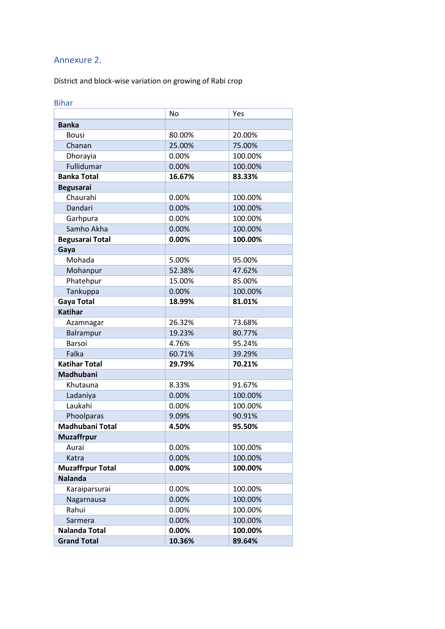## <span id="page-33-0"></span>Annexure 2.

District and block-wise variation on growing of Rabi crop

| <b>Bihar</b>            |           |         |
|-------------------------|-----------|---------|
|                         | <b>No</b> | Yes     |
| <b>Banka</b>            |           |         |
| <b>Bousi</b>            | 80.00%    | 20.00%  |
| Chanan                  | 25.00%    | 75.00%  |
| Dhorayia                | 0.00%     | 100.00% |
| Fullidumar              | 0.00%     | 100.00% |
| <b>Banka Total</b>      | 16.67%    | 83.33%  |
| <b>Begusarai</b>        |           |         |
| Chaurahi                | 0.00%     | 100.00% |
| Dandari                 | 0.00%     | 100.00% |
| Garhpura                | 0.00%     | 100.00% |
| Samho Akha              | 0.00%     | 100.00% |
| <b>Begusarai Total</b>  | 0.00%     | 100.00% |
| Gaya                    |           |         |
| Mohada                  | 5.00%     | 95.00%  |
| Mohanpur                | 52.38%    | 47.62%  |
| Phatehpur               | 15.00%    | 85.00%  |
| Tankuppa                | 0.00%     | 100.00% |
| Gaya Total              | 18.99%    | 81.01%  |
| <b>Katihar</b>          |           |         |
| Azamnagar               | 26.32%    | 73.68%  |
| Balrampur               | 19.23%    | 80.77%  |
| Barsoi                  | 4.76%     | 95.24%  |
| Falka                   | 60.71%    | 39.29%  |
| <b>Katihar Total</b>    | 29.79%    | 70.21%  |
| Madhubani               |           |         |
| Khutauna                | 8.33%     | 91.67%  |
| Ladaniya                | 0.00%     | 100.00% |
| Laukahi                 | 0.00%     | 100.00% |
| Phoolparas              | 9.09%     | 90.91%  |
| Madhubani Total         | 4.50%     | 95.50%  |
| <b>Muzaffrpur</b>       |           |         |
| Aurai                   | 0.00%     | 100.00% |
| Katra                   | 0.00%     | 100.00% |
| <b>Muzaffrpur Total</b> | 0.00%     | 100.00% |
| <b>Nalanda</b>          |           |         |
| Karaiparsurai           | 0.00%     | 100.00% |
| Nagarnausa              | 0.00%     | 100.00% |
| Rahui                   | 0.00%     | 100.00% |
| Sarmera                 | 0.00%     | 100.00% |
| <b>Nalanda Total</b>    | 0.00%     | 100.00% |
| <b>Grand Total</b>      | 10.36%    | 89.64%  |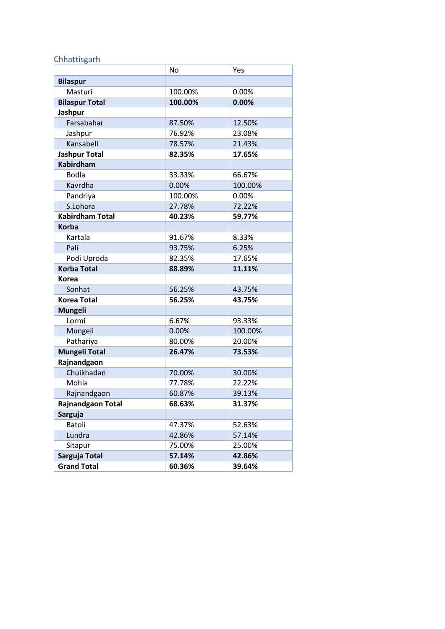## Chhattisgarh

|                        | <b>No</b> | Yes     |  |
|------------------------|-----------|---------|--|
| <b>Bilaspur</b>        |           |         |  |
| Masturi                | 100.00%   | 0.00%   |  |
| <b>Bilaspur Total</b>  | 100.00%   | 0.00%   |  |
| Jashpur                |           |         |  |
| Farsabahar             | 87.50%    | 12.50%  |  |
| Jashpur                | 76.92%    | 23.08%  |  |
| Kansabell              | 78.57%    | 21.43%  |  |
| <b>Jashpur Total</b>   | 82.35%    | 17.65%  |  |
| <b>Kabirdham</b>       |           |         |  |
| <b>Bodla</b>           | 33.33%    | 66.67%  |  |
| Kavrdha                | 0.00%     | 100.00% |  |
| Pandriya               | 100.00%   | 0.00%   |  |
| S.Lohara               | 27.78%    | 72.22%  |  |
| <b>Kabirdham Total</b> | 40.23%    | 59.77%  |  |
| <b>Korba</b>           |           |         |  |
| Kartala                | 91.67%    | 8.33%   |  |
| Pali                   | 93.75%    | 6.25%   |  |
| Podi Uproda            | 82.35%    | 17.65%  |  |
| <b>Korba Total</b>     | 88.89%    | 11.11%  |  |
| <b>Korea</b>           |           |         |  |
| Sonhat                 | 56.25%    | 43.75%  |  |
| <b>Korea Total</b>     | 56.25%    | 43.75%  |  |
| <b>Mungeli</b>         |           |         |  |
| Lormi                  | 6.67%     | 93.33%  |  |
| Mungeli                | 0.00%     | 100.00% |  |
| Pathariya              | 80.00%    | 20.00%  |  |
| <b>Mungeli Total</b>   | 26.47%    | 73.53%  |  |
| Rajnandgaon            |           |         |  |
| Chuikhadan             | 70.00%    | 30.00%  |  |
| Mohla                  | 77.78%    | 22.22%  |  |
| Rajnandgaon            | 60.87%    | 39.13%  |  |
| Rajnandgaon Total      | 68.63%    | 31.37%  |  |
| <b>Sarguja</b>         |           |         |  |
| Batoli                 | 47.37%    | 52.63%  |  |
| Lundra                 | 42.86%    | 57.14%  |  |
| Sitapur                | 75.00%    | 25.00%  |  |
| Sarguja Total          | 57.14%    | 42.86%  |  |
| <b>Grand Total</b>     | 60.36%    | 39.64%  |  |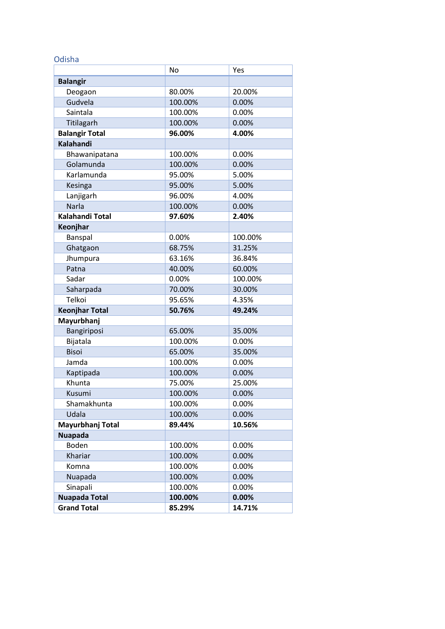#### Odisha

|                        | <b>No</b> | Yes     |
|------------------------|-----------|---------|
| <b>Balangir</b>        |           |         |
| Deogaon                | 80.00%    | 20.00%  |
| Gudvela                | 100.00%   | 0.00%   |
| Saintala               | 100.00%   | 0.00%   |
| Titilagarh             | 100.00%   | 0.00%   |
| <b>Balangir Total</b>  | 96.00%    | 4.00%   |
| <b>Kalahandi</b>       |           |         |
| Bhawanipatana          | 100.00%   | 0.00%   |
| Golamunda              | 100.00%   | 0.00%   |
| Karlamunda             | 95.00%    | 5.00%   |
| Kesinga                | 95.00%    | 5.00%   |
| Lanjigarh              | 96.00%    | 4.00%   |
| Narla                  | 100.00%   | 0.00%   |
| <b>Kalahandi Total</b> | 97.60%    | 2.40%   |
| Keonjhar               |           |         |
| Banspal                | 0.00%     | 100.00% |
| Ghatgaon               | 68.75%    | 31.25%  |
| Jhumpura               | 63.16%    | 36.84%  |
| Patna                  | 40.00%    | 60.00%  |
| Sadar                  | 0.00%     | 100.00% |
| Saharpada              | 70.00%    | 30.00%  |
| Telkoi                 | 95.65%    | 4.35%   |
| <b>Keonjhar Total</b>  | 50.76%    | 49.24%  |
| Mayurbhanj             |           |         |
| Bangiriposi            | 65.00%    | 35.00%  |
| Bijatala               | 100.00%   | 0.00%   |
| <b>Bisoi</b>           | 65.00%    | 35.00%  |
| Jamda                  | 100.00%   | 0.00%   |
| Kaptipada              | 100.00%   | 0.00%   |
| Khunta                 | 75.00%    | 25.00%  |
| Kusumi                 | 100.00%   | 0.00%   |
| Shamakhunta            | 100.00%   | 0.00%   |
| Udala                  | 100.00%   | 0.00%   |
| Mayurbhanj Total       | 89.44%    | 10.56%  |
| <b>Nuapada</b>         |           |         |
| Boden                  | 100.00%   | 0.00%   |
| Khariar                | 100.00%   | 0.00%   |
| Komna                  | 100.00%   | 0.00%   |
| Nuapada                | 100.00%   | 0.00%   |
| Sinapali               | 100.00%   | 0.00%   |
| <b>Nuapada Total</b>   | 100.00%   | 0.00%   |
| <b>Grand Total</b>     | 85.29%    | 14.71%  |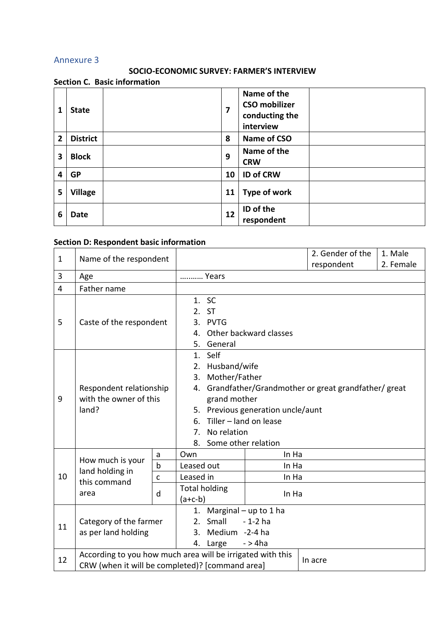## <span id="page-36-0"></span>Annexure 3

## **SOCIO-ECONOMIC SURVEY: FARMER'S INTERVIEW**

### **Section C. Basic information**

| 1              | <b>State</b>    | 7  | Name of the<br><b>CSO mobilizer</b><br>conducting the<br>interview |
|----------------|-----------------|----|--------------------------------------------------------------------|
| $\overline{2}$ | <b>District</b> | 8  | Name of CSO                                                        |
| 3              | <b>Block</b>    | 9  | Name of the<br><b>CRW</b>                                          |
| 4              | <b>GP</b>       | 10 | <b>ID of CRW</b>                                                   |
| 5              | <b>Village</b>  | 11 | Type of work                                                       |
| 6              | Date            | 12 | ID of the<br>respondent                                            |

## **Section D: Respondent basic information**

| $\mathbf{1}$   | Name of the respondent                                     |                              |                                                        |                            |                | 2. Gender of the | 1. Male   |  |
|----------------|------------------------------------------------------------|------------------------------|--------------------------------------------------------|----------------------------|----------------|------------------|-----------|--|
|                |                                                            |                              |                                                        |                            |                | respondent       | 2. Female |  |
| 3              | Age                                                        | Years                        |                                                        |                            |                |                  |           |  |
| $\overline{4}$ | Father name                                                |                              |                                                        |                            |                |                  |           |  |
|                |                                                            | 1. SC                        |                                                        |                            |                |                  |           |  |
|                |                                                            | 2. ST                        |                                                        |                            |                |                  |           |  |
| 5              | Caste of the respondent                                    | 3. PVTG                      |                                                        |                            |                |                  |           |  |
|                |                                                            |                              | Other backward classes<br>4.                           |                            |                |                  |           |  |
|                |                                                            | 5.                           | General                                                |                            |                |                  |           |  |
|                |                                                            |                              | 1. Self                                                |                            |                |                  |           |  |
|                |                                                            | 2. Husband/wife              |                                                        |                            |                |                  |           |  |
|                |                                                            |                              | Mother/Father<br>3.                                    |                            |                |                  |           |  |
|                | Respondent relationship                                    |                              | 4. Grandfather/Grandmother or great grandfather/ great |                            |                |                  |           |  |
| 9              | with the owner of this                                     |                              | grand mother                                           |                            |                |                  |           |  |
|                | land?                                                      |                              | 5. Previous generation uncle/aunt                      |                            |                |                  |           |  |
|                |                                                            | Tiller - land on lease<br>6. |                                                        |                            |                |                  |           |  |
|                |                                                            | No relation<br>$7_{\cdot}$   |                                                        |                            |                |                  |           |  |
|                |                                                            |                              | 8. Some other relation                                 |                            |                |                  |           |  |
|                | How much is your                                           | a                            | Own                                                    |                            | In Ha          |                  |           |  |
|                | land holding in<br>this command<br>area                    | $\mathsf b$                  | Leased out<br>Leased in                                |                            | In Ha          |                  |           |  |
| 10             |                                                            | $\mathsf{C}$                 |                                                        |                            | In Ha          |                  |           |  |
|                |                                                            | d                            |                                                        | <b>Total holding</b>       | In Ha          |                  |           |  |
|                |                                                            |                              | $(a+c-b)$                                              |                            |                |                  |           |  |
|                |                                                            |                              |                                                        | 1. Marginal $-$ up to 1 ha |                |                  |           |  |
| 11             | Category of the farmer<br>as per land holding              |                              |                                                        | 2. Small<br>$-1-2$ ha      |                |                  |           |  |
|                |                                                            |                              | 3.                                                     |                            | Medium -2-4 ha |                  |           |  |
|                |                                                            |                              |                                                        | 4. Large                   | $-$ > 4 $ha$   |                  |           |  |
| 12             | According to you how much area will be irrigated with this |                              |                                                        |                            |                | In acre          |           |  |
|                | CRW (when it will be completed)? [command area]            |                              |                                                        |                            |                |                  |           |  |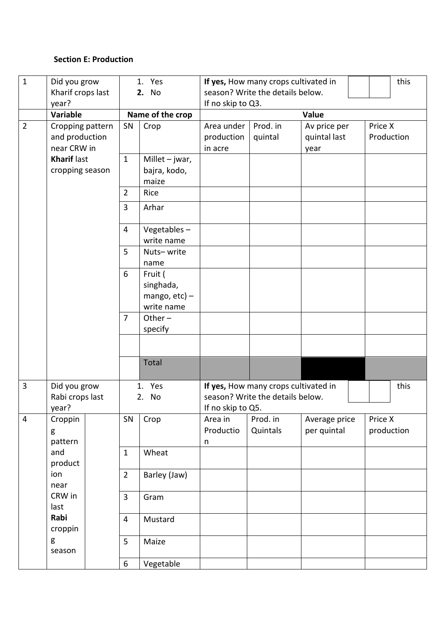## **Section E: Production**

| $\mathbf{1}$   | Did you grow<br>1. Yes |                  | this<br>If yes, How many crops cultivated in |                                  |                                      |               |            |  |
|----------------|------------------------|------------------|----------------------------------------------|----------------------------------|--------------------------------------|---------------|------------|--|
|                | Kharif crops last      | 2. No            |                                              | season? Write the details below. |                                      |               |            |  |
|                | year?                  |                  |                                              | If no skip to Q3.                |                                      |               |            |  |
|                | <b>Variable</b>        |                  | Name of the crop                             | Value                            |                                      |               |            |  |
| $\overline{2}$ | Cropping pattern       | Crop<br>SN       |                                              | Area under                       | Prod. in                             | Av price per  | Price X    |  |
|                | and production         |                  |                                              | production                       | quintal                              | quintal last  | Production |  |
|                | near CRW in            |                  |                                              | in acre                          |                                      | year          |            |  |
|                | <b>Kharif last</b>     | $\mathbf{1}$     | Millet $-$ jwar,                             |                                  |                                      |               |            |  |
|                | cropping season        |                  | bajra, kodo,                                 |                                  |                                      |               |            |  |
|                |                        |                  | maize                                        |                                  |                                      |               |            |  |
|                |                        | $\overline{2}$   | Rice                                         |                                  |                                      |               |            |  |
|                |                        | 3                | Arhar                                        |                                  |                                      |               |            |  |
|                |                        | $\overline{4}$   | Vegetables $-$                               |                                  |                                      |               |            |  |
|                |                        |                  | write name                                   |                                  |                                      |               |            |  |
|                |                        | 5                | Nuts-write                                   |                                  |                                      |               |            |  |
|                |                        |                  | name                                         |                                  |                                      |               |            |  |
|                |                        | 6                | Fruit (                                      |                                  |                                      |               |            |  |
|                |                        |                  | singhada,                                    |                                  |                                      |               |            |  |
|                |                        |                  | mango, $etc$ ) –                             |                                  |                                      |               |            |  |
|                |                        |                  | write name                                   |                                  |                                      |               |            |  |
|                |                        | $\overline{7}$   | Other $-$                                    |                                  |                                      |               |            |  |
|                |                        |                  | specify                                      |                                  |                                      |               |            |  |
|                |                        |                  |                                              |                                  |                                      |               |            |  |
|                |                        |                  | Total                                        |                                  |                                      |               |            |  |
| 3              | Did you grow           |                  | Yes<br>1.                                    |                                  | If yes, How many crops cultivated in |               | this       |  |
|                | Rabi crops last        | 2. No            |                                              | season? Write the details below. |                                      |               |            |  |
|                | year?                  |                  |                                              | If no skip to Q5.                |                                      |               |            |  |
| $\overline{4}$ | Croppin                | SN               | Crop                                         | Area in                          | Prod. in                             | Average price | Price X    |  |
|                | g                      |                  |                                              | Productio                        | Quintals                             | per quintal   | production |  |
|                | pattern                |                  |                                              | n                                |                                      |               |            |  |
|                | and                    | $\mathbf{1}$     | Wheat                                        |                                  |                                      |               |            |  |
|                | product                |                  |                                              |                                  |                                      |               |            |  |
|                | ion                    | $\overline{2}$   | Barley (Jaw)                                 |                                  |                                      |               |            |  |
|                | near                   |                  |                                              |                                  |                                      |               |            |  |
|                | CRW in                 | $\overline{3}$   | Gram                                         |                                  |                                      |               |            |  |
|                | last<br>Rabi           |                  |                                              |                                  |                                      |               |            |  |
|                | croppin                | $\overline{4}$   | Mustard                                      |                                  |                                      |               |            |  |
|                | g<br>season            | 5                | Maize                                        |                                  |                                      |               |            |  |
|                |                        | $\boldsymbol{6}$ | Vegetable                                    |                                  |                                      |               |            |  |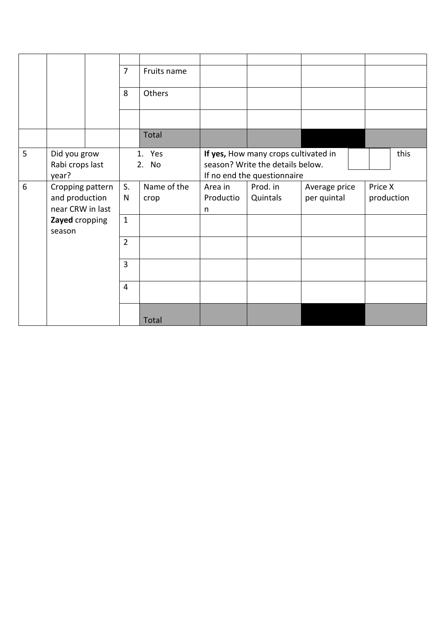|   |                                                        | $\overline{7}$ | Fruits name         |                           |                                                                                                         |                              |                       |
|---|--------------------------------------------------------|----------------|---------------------|---------------------------|---------------------------------------------------------------------------------------------------------|------------------------------|-----------------------|
|   |                                                        | 8              | Others              |                           |                                                                                                         |                              |                       |
|   |                                                        |                |                     |                           |                                                                                                         |                              |                       |
|   |                                                        |                | Total               |                           |                                                                                                         |                              |                       |
| 5 | Did you grow<br>Rabi crops last<br>year?               |                | 1. Yes<br>2. No     |                           | If yes, How many crops cultivated in<br>season? Write the details below.<br>If no end the questionnaire |                              | this                  |
| 6 | Cropping pattern<br>and production<br>near CRW in last | S.<br>N        | Name of the<br>crop | Area in<br>Productio<br>n | Prod. in<br>Quintals                                                                                    | Average price<br>per quintal | Price X<br>production |
|   | Zayed cropping<br>season                               | $\mathbf{1}$   |                     |                           |                                                                                                         |                              |                       |
|   |                                                        | $\overline{2}$ |                     |                           |                                                                                                         |                              |                       |
|   |                                                        | $\overline{3}$ |                     |                           |                                                                                                         |                              |                       |
|   |                                                        | $\overline{4}$ |                     |                           |                                                                                                         |                              |                       |
|   |                                                        |                | Total               |                           |                                                                                                         |                              |                       |